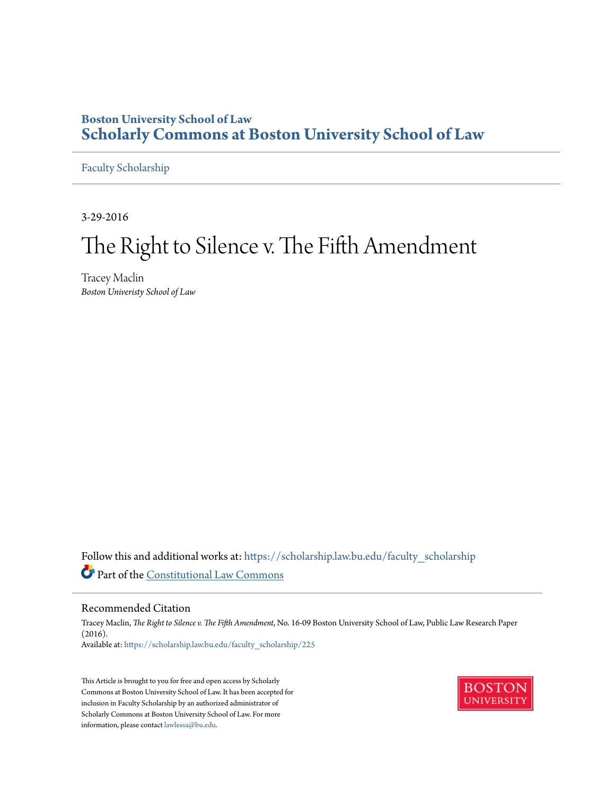# **Boston University School of Law [Scholarly Commons at Boston University School of Law](https://scholarship.law.bu.edu?utm_source=scholarship.law.bu.edu%2Ffaculty_scholarship%2F225&utm_medium=PDF&utm_campaign=PDFCoverPages)**

[Faculty Scholarship](https://scholarship.law.bu.edu/faculty_scholarship?utm_source=scholarship.law.bu.edu%2Ffaculty_scholarship%2F225&utm_medium=PDF&utm_campaign=PDFCoverPages)

3-29-2016

# The Right to Silence v. The Fifth Amendment

Tracey Maclin *Boston Univeristy School of Law*

Follow this and additional works at: [https://scholarship.law.bu.edu/faculty\\_scholarship](https://scholarship.law.bu.edu/faculty_scholarship?utm_source=scholarship.law.bu.edu%2Ffaculty_scholarship%2F225&utm_medium=PDF&utm_campaign=PDFCoverPages) Part of the [Constitutional Law Commons](http://network.bepress.com/hgg/discipline/589?utm_source=scholarship.law.bu.edu%2Ffaculty_scholarship%2F225&utm_medium=PDF&utm_campaign=PDFCoverPages)

### Recommended Citation

Tracey Maclin, *The Right to Silence v. The Fifth Amendment*, No. 16-09 Boston University School of Law, Public Law Research Paper (2016). Available at: [https://scholarship.law.bu.edu/faculty\\_scholarship/225](https://scholarship.law.bu.edu/faculty_scholarship/225?utm_source=scholarship.law.bu.edu%2Ffaculty_scholarship%2F225&utm_medium=PDF&utm_campaign=PDFCoverPages)

This Article is brought to you for free and open access by Scholarly Commons at Boston University School of Law. It has been accepted for inclusion in Faculty Scholarship by an authorized administrator of Scholarly Commons at Boston University School of Law. For more information, please contact [lawlessa@bu.edu.](mailto:lawlessa@bu.edu)

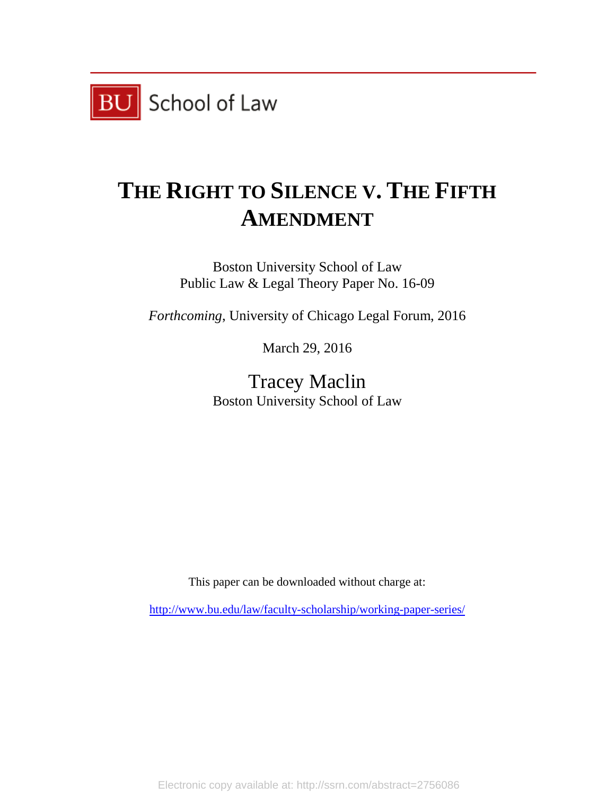

# **THE RIGHT TO SILENCE V. THE FIFTH AMENDMENT**

Boston University School of Law Public Law & Legal Theory Paper No. 16-09

*Forthcoming*, University of Chicago Legal Forum, 2016

March 29, 2016

Tracey Maclin Boston University School of Law

This paper can be downloaded without charge at:

<http://www.bu.edu/law/faculty-scholarship/working-paper-series/>

Electronic copy available at: http://ssrn.com/abstract=2756086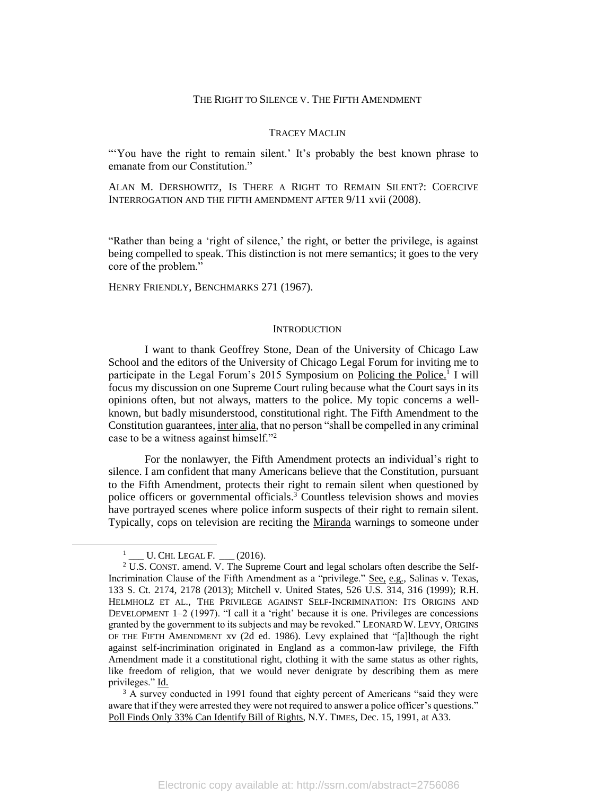### THE RIGHT TO SILENCE V. THE FIFTH AMENDMENT

#### TRACEY MACLIN

"You have the right to remain silent.' It's probably the best known phrase to emanate from our Constitution."

ALAN M. DERSHOWITZ, IS THERE A RIGHT TO REMAIN SILENT?: COERCIVE INTERROGATION AND THE FIFTH AMENDMENT AFTER 9/11 xvii (2008).

"Rather than being a 'right of silence,' the right, or better the privilege, is against being compelled to speak. This distinction is not mere semantics; it goes to the very core of the problem."

HENRY FRIENDLY, BENCHMARKS 271 (1967).

#### **INTRODUCTION**

I want to thank Geoffrey Stone, Dean of the University of Chicago Law School and the editors of the University of Chicago Legal Forum for inviting me to participate in the Legal Forum's 2015 Symposium on Policing the Police.<sup>1</sup> I will focus my discussion on one Supreme Court ruling because what the Court says in its opinions often, but not always, matters to the police. My topic concerns a wellknown, but badly misunderstood, constitutional right. The Fifth Amendment to the Constitution guarantees, inter alia, that no person "shall be compelled in any criminal case to be a witness against himself."<sup>2</sup>

For the nonlawyer, the Fifth Amendment protects an individual's right to silence. I am confident that many Americans believe that the Constitution, pursuant to the Fifth Amendment, protects their right to remain silent when questioned by police officers or governmental officials.<sup>3</sup> Countless television shows and movies have portrayed scenes where police inform suspects of their right to remain silent. Typically, cops on television are reciting the Miranda warnings to someone under

l

 $^{1}$  \_\_\_ U. Chi. Legal F. \_\_\_ (2016).

 $2$  U.S. CONST. amend. V. The Supreme Court and legal scholars often describe the Self-Incrimination Clause of the Fifth Amendment as a "privilege." See, e.g., Salinas v. Texas, 133 S. Ct. 2174, 2178 (2013); Mitchell v. United States, 526 U.S. 314, 316 (1999); R.H. HELMHOLZ ET AL., THE PRIVILEGE AGAINST SELF-INCRIMINATION: ITS ORIGINS AND DEVELOPMENT 1–2 (1997). "I call it a 'right' because it is one. Privileges are concessions granted by the government to its subjects and may be revoked." LEONARD W. LEVY, ORIGINS OF THE FIFTH AMENDMENT xv (2d ed. 1986). Levy explained that "[a]lthough the right against self-incrimination originated in England as a common-law privilege, the Fifth Amendment made it a constitutional right, clothing it with the same status as other rights, like freedom of religion, that we would never denigrate by describing them as mere privileges." Id.

<sup>&</sup>lt;sup>3</sup> A survey conducted in 1991 found that eighty percent of Americans "said they were aware that if they were arrested they were not required to answer a police officer's questions." Poll Finds Only 33% Can Identify Bill of Rights, N.Y. TIMES, Dec. 15, 1991, at A33.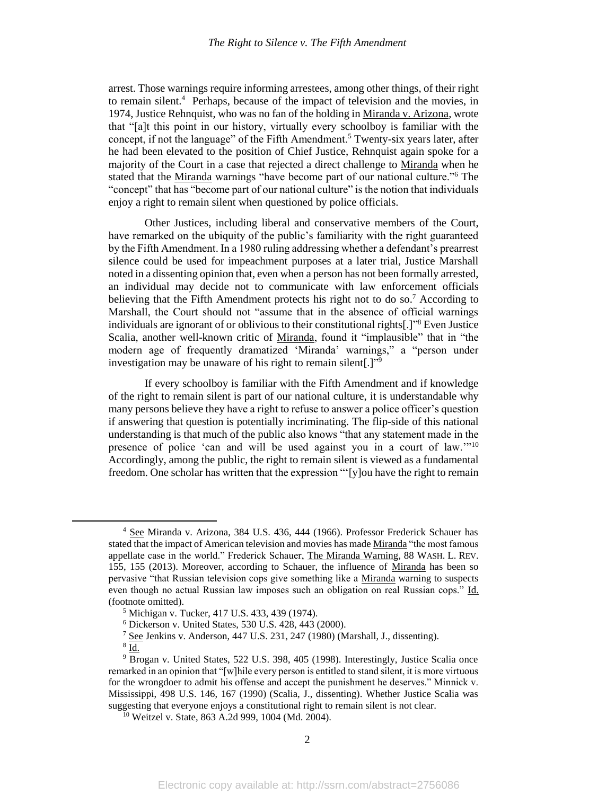arrest. Those warnings require informing arrestees, among other things, of their right to remain silent.<sup>4</sup> Perhaps, because of the impact of television and the movies, in 1974, Justice Rehnquist, who was no fan of the holding in Miranda v. Arizona, wrote that "[a]t this point in our history, virtually every schoolboy is familiar with the concept, if not the language" of the Fifth Amendment.<sup>5</sup> Twenty-six years later, after he had been elevated to the position of Chief Justice, Rehnquist again spoke for a majority of the Court in a case that rejected a direct challenge to Miranda when he stated that the Miranda warnings "have become part of our national culture."<sup>6</sup> The "concept" that has "become part of our national culture" is the notion that individuals enjoy a right to remain silent when questioned by police officials.

Other Justices, including liberal and conservative members of the Court, have remarked on the ubiquity of the public's familiarity with the right guaranteed by the Fifth Amendment. In a 1980 ruling addressing whether a defendant's prearrest silence could be used for impeachment purposes at a later trial, Justice Marshall noted in a dissenting opinion that, even when a person has not been formally arrested, an individual may decide not to communicate with law enforcement officials believing that the Fifth Amendment protects his right not to do so.<sup>7</sup> According to Marshall, the Court should not "assume that in the absence of official warnings individuals are ignorant of or oblivious to their constitutional rights[.]" <sup>8</sup> Even Justice Scalia, another well-known critic of Miranda, found it "implausible" that in "the modern age of frequently dramatized 'Miranda' warnings," a "person under investigation may be unaware of his right to remain silent[.]"<sup>9</sup>

If every schoolboy is familiar with the Fifth Amendment and if knowledge of the right to remain silent is part of our national culture, it is understandable why many persons believe they have a right to refuse to answer a police officer's question if answering that question is potentially incriminating. The flip-side of this national understanding is that much of the public also knows "that any statement made in the presence of police 'can and will be used against you in a court of law.'"<sup>10</sup> Accordingly, among the public, the right to remain silent is viewed as a fundamental freedom. One scholar has written that the expression "'[y]ou have the right to remain

<sup>4</sup> See Miranda v. Arizona, 384 U.S. 436, 444 (1966). Professor Frederick Schauer has stated that the impact of American television and movies has made Miranda "the most famous appellate case in the world." Frederick Schauer, The Miranda Warning, 88 WASH. L. REV. 155, 155 (2013). Moreover, according to Schauer, the influence of Miranda has been so pervasive "that Russian television cops give something like a Miranda warning to suspects even though no actual Russian law imposes such an obligation on real Russian cops." Id. (footnote omitted).

<sup>5</sup> Michigan v. Tucker, 417 U.S. 433, 439 (1974).

<sup>6</sup> Dickerson v. United States, 530 U.S. 428, 443 (2000).

<sup>7</sup> See Jenkins v. Anderson, 447 U.S. 231, 247 (1980) (Marshall, J., dissenting).

 $^8$  Id.

<sup>9</sup> Brogan v. United States, 522 U.S. 398, 405 (1998). Interestingly, Justice Scalia once remarked in an opinion that "[w]hile every person is entitled to stand silent, it is more virtuous for the wrongdoer to admit his offense and accept the punishment he deserves." Minnick v. Mississippi, 498 U.S. 146, 167 (1990) (Scalia, J., dissenting). Whether Justice Scalia was suggesting that everyone enjoys a constitutional right to remain silent is not clear.

<sup>10</sup> Weitzel v. State, 863 A.2d 999, 1004 (Md. 2004).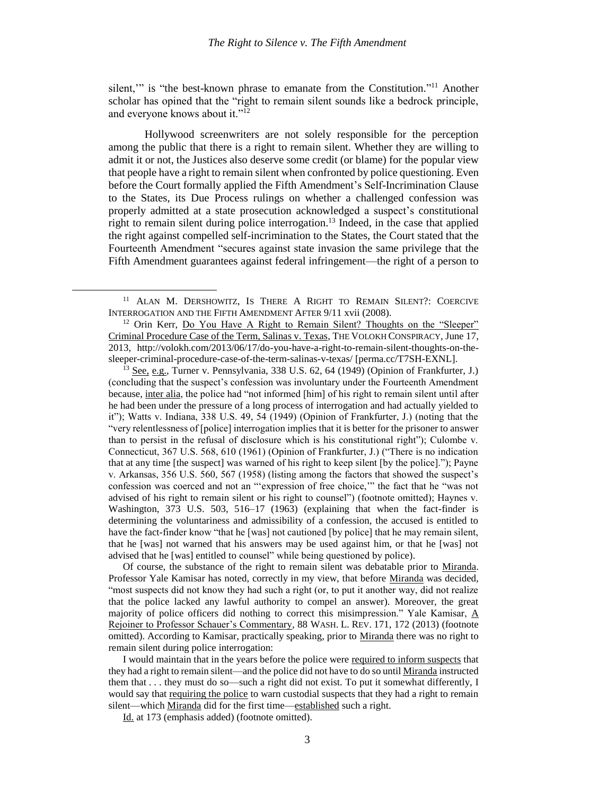<span id="page-4-1"></span><span id="page-4-0"></span>silent," is "the best-known phrase to emanate from the Constitution."<sup>11</sup> Another scholar has opined that the "right to remain silent sounds like a bedrock principle, and everyone knows about it."<sup>12</sup>

Hollywood screenwriters are not solely responsible for the perception among the public that there is a right to remain silent. Whether they are willing to admit it or not, the Justices also deserve some credit (or blame) for the popular view that people have a right to remain silent when confronted by police questioning. Even before the Court formally applied the Fifth Amendment's Self-Incrimination Clause to the States, its Due Process rulings on whether a challenged confession was properly admitted at a state prosecution acknowledged a suspect's constitutional right to remain silent during police interrogation.<sup>13</sup> Indeed, in the case that applied the right against compelled self-incrimination to the States, the Court stated that the Fourteenth Amendment "secures against state invasion the same privilege that the Fifth Amendment guarantees against federal infringement—the right of a person to

 $\overline{\phantom{a}}$ 

<sup>13</sup> See, e.g.*,* Turner v. Pennsylvania, 338 U.S. 62, 64 (1949) (Opinion of Frankfurter, J.) (concluding that the suspect's confession was involuntary under the Fourteenth Amendment because, inter alia, the police had "not informed [him] of his right to remain silent until after he had been under the pressure of a long process of interrogation and had actually yielded to it"); Watts v. Indiana, 338 U.S. 49, 54 (1949) (Opinion of Frankfurter, J.) (noting that the "very relentlessness of [police] interrogation implies that it is better for the prisoner to answer than to persist in the refusal of disclosure which is his constitutional right"); Culombe v. Connecticut, 367 U.S. 568, 610 (1961) (Opinion of Frankfurter, J.) ("There is no indication that at any time [the suspect] was warned of his right to keep silent [by the police]."); Payne v. Arkansas, 356 U.S. 560, 567 (1958) (listing among the factors that showed the suspect's confession was coerced and not an "'expression of free choice,'" the fact that he "was not advised of his right to remain silent or his right to counsel") (footnote omitted); Haynes v. Washington, 373 U.S. 503, 516–17 (1963) (explaining that when the fact-finder is determining the voluntariness and admissibility of a confession, the accused is entitled to have the fact-finder know "that he [was] not cautioned [by police] that he may remain silent, that he [was] not warned that his answers may be used against him, or that he [was] not advised that he [was] entitled to counsel" while being questioned by police).

Of course, the substance of the right to remain silent was debatable prior to Miranda. Professor Yale Kamisar has noted, correctly in my view, that before Miranda was decided, "most suspects did not know they had such a right (or, to put it another way, did not realize that the police lacked any lawful authority to compel an answer). Moreover, the great majority of police officers did nothing to correct this misimpression." Yale Kamisar,  $\underline{A}$ Rejoiner to Professor Schauer's Commentary, 88 WASH. L. REV. 171, 172 (2013) (footnote omitted). According to Kamisar, practically speaking, prior to Miranda there was no right to remain silent during police interrogation:

I would maintain that in the years before the police were required to inform suspects that they had a right to remain silent—and the police did not have to do so until Miranda instructed them that . . . they must do so—such a right did not exist. To put it somewhat differently, I would say that requiring the police to warn custodial suspects that they had a right to remain silent—which Miranda did for the first time—established such a right.

Id. at 173 (emphasis added) (footnote omitted).

<sup>&</sup>lt;sup>11</sup> ALAN M. DERSHOWITZ, IS THERE A RIGHT TO REMAIN SILENT?: COERCIVE INTERROGATION AND THE FIFTH AMENDMENT AFTER 9/11 xvii (2008).

<sup>&</sup>lt;sup>12</sup> Orin Kerr, <u>Do You Have A Right to Remain Silent?</u> Thoughts on the "Sleeper" Criminal Procedure Case of the Term, Salinas v. Texas, THE VOLOKH CONSPIRACY, June 17, 2013, http://volokh.com/2013/06/17/do-you-have-a-right-to-remain-silent-thoughts-on-thesleeper-criminal-procedure-case-of-the-term-salinas-v-texas/ [perma.cc/T7SH-EXNL].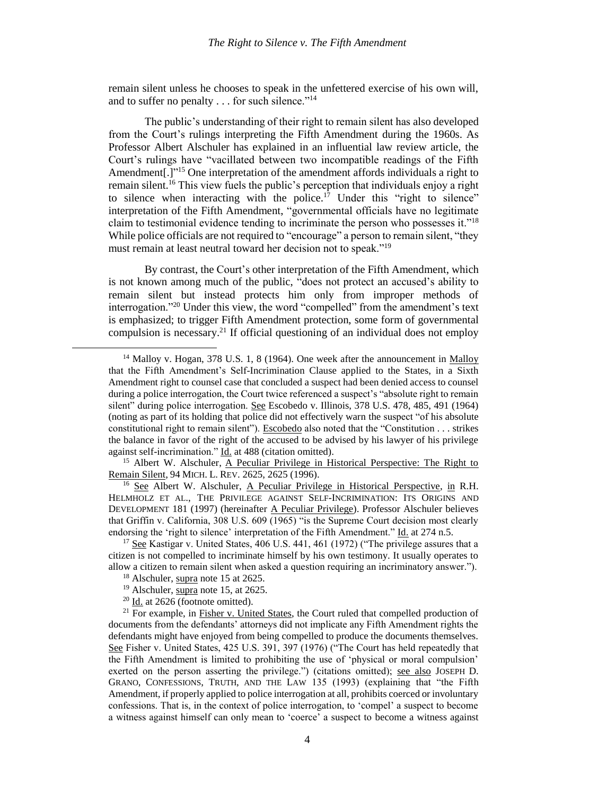remain silent unless he chooses to speak in the unfettered exercise of his own will, and to suffer no penalty . . . for such silence."<sup>14</sup>

<span id="page-5-1"></span><span id="page-5-0"></span>The public's understanding of their right to remain silent has also developed from the Court's rulings interpreting the Fifth Amendment during the 1960s. As Professor Albert Alschuler has explained in an influential law review article, the Court's rulings have "vacillated between two incompatible readings of the Fifth Amendment[.]"<sup>15</sup> One interpretation of the amendment affords individuals a right to remain silent.<sup>16</sup> This view fuels the public's perception that individuals enjoy a right to silence when interacting with the police.<sup>17</sup> Under this "right to silence" interpretation of the Fifth Amendment, "governmental officials have no legitimate claim to testimonial evidence tending to incriminate the person who possesses it."<sup>18</sup> While police officials are not required to "encourage" a person to remain silent, "they must remain at least neutral toward her decision not to speak."<sup>19</sup>

By contrast, the Court's other interpretation of the Fifth Amendment, which is not known among much of the public, "does not protect an accused's ability to remain silent but instead protects him only from improper methods of interrogation."<sup>20</sup> Under this view, the word "compelled" from the amendment's text is emphasized; to trigger Fifth Amendment protection, some form of governmental compulsion is necessary. <sup>21</sup> If official questioning of an individual does not employ

 $\overline{a}$ 

<sup>&</sup>lt;sup>14</sup> Malloy v. Hogan, 378 U.S. 1, 8 (1964). One week after the announcement in Malloy that the Fifth Amendment's Self-Incrimination Clause applied to the States, in a Sixth Amendment right to counsel case that concluded a suspect had been denied access to counsel during a police interrogation, the Court twice referenced a suspect's "absolute right to remain silent" during police interrogation. See Escobedo v. Illinois, 378 U.S. 478, 485, 491 (1964) (noting as part of its holding that police did not effectively warn the suspect "of his absolute constitutional right to remain silent"). Escobedo also noted that the "Constitution . . . strikes the balance in favor of the right of the accused to be advised by his lawyer of his privilege against self-incrimination." Id. at 488 (citation omitted).

<sup>&</sup>lt;sup>15</sup> Albert W. Alschuler, A Peculiar Privilege in Historical Perspective: The Right to Remain Silent, 94 MICH. L. REV. 2625, 2625 (1996).

<sup>&</sup>lt;sup>16</sup> See Albert W. Alschuler, A Peculiar Privilege in Historical Perspective, in R.H. HELMHOLZ ET AL., THE PRIVILEGE AGAINST SELF-INCRIMINATION: ITS ORIGINS AND DEVELOPMENT 181 (1997) (hereinafter A Peculiar Privilege). Professor Alschuler believes that Griffin v. California, 308 U.S. 609 (1965) "is the Supreme Court decision most clearly endorsing the 'right to silence' interpretation of the Fifth Amendment." Id. at 274 n.5.

<sup>&</sup>lt;sup>17</sup> See Kastigar v. United States, 406 U.S. 441, 461 (1972) ("The privilege assures that a citizen is not compelled to incriminate himself by his own testimony. It usually operates to allow a citizen to remain silent when asked a question requiring an incriminatory answer.").

<sup>&</sup>lt;sup>18</sup> Alschuler, supra note [15](#page-5-0) at 2625.

<sup>&</sup>lt;sup>19</sup> Alschuler, supra note [15,](#page-5-0) at 2625.

<sup>20</sup> Id. at 2626 (footnote omitted).

<sup>&</sup>lt;sup>21</sup> For example, in Fisher v. United States, the Court ruled that compelled production of documents from the defendants' attorneys did not implicate any Fifth Amendment rights the defendants might have enjoyed from being compelled to produce the documents themselves. See Fisher v. United States, 425 U.S. 391, 397 (1976) ("The Court has held repeatedly that the Fifth Amendment is limited to prohibiting the use of 'physical or moral compulsion' exerted on the person asserting the privilege.") (citations omitted); see also JOSEPH D. GRANO, CONFESSIONS, TRUTH, AND THE LAW 135 (1993) (explaining that "the Fifth Amendment, if properly applied to police interrogation at all, prohibits coerced or involuntary confessions. That is, in the context of police interrogation, to 'compel' a suspect to become a witness against himself can only mean to 'coerce' a suspect to become a witness against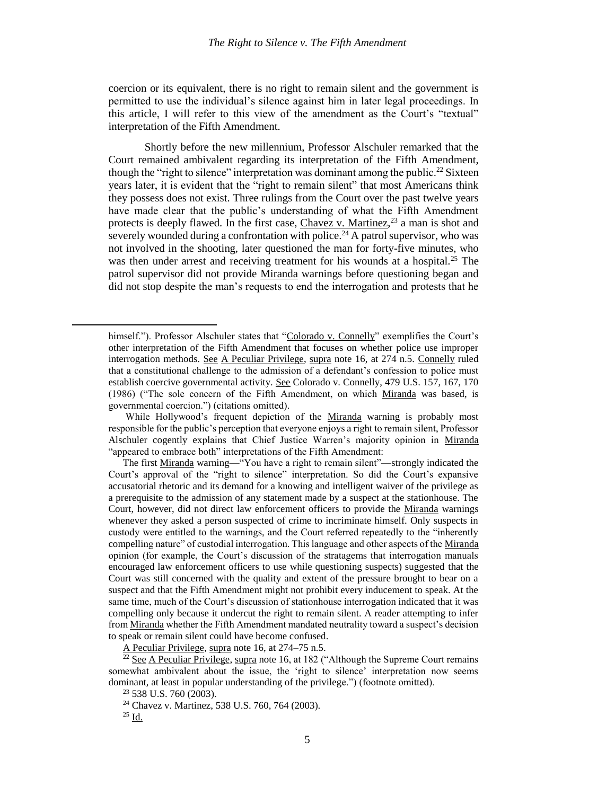coercion or its equivalent, there is no right to remain silent and the government is permitted to use the individual's silence against him in later legal proceedings. In this article, I will refer to this view of the amendment as the Court's "textual" interpretation of the Fifth Amendment.

Shortly before the new millennium, Professor Alschuler remarked that the Court remained ambivalent regarding its interpretation of the Fifth Amendment, though the "right to silence" interpretation was dominant among the public.<sup>22</sup> Sixteen years later, it is evident that the "right to remain silent" that most Americans think they possess does not exist. Three rulings from the Court over the past twelve years have made clear that the public's understanding of what the Fifth Amendment protects is deeply flawed. In the first case, Chavez v. Martinez,<sup>23</sup> a man is shot and severely wounded during a confrontation with police.<sup>24</sup> A patrol supervisor, who was not involved in the shooting, later questioned the man for forty-five minutes, who was then under arrest and receiving treatment for his wounds at a hospital.<sup>25</sup> The patrol supervisor did not provide Miranda warnings before questioning began and did not stop despite the man's requests to end the interrogation and protests that he

A Peculiar Privilege, supra note [16,](#page-5-1) at 274–75 n.5.<br> $\frac{22}{5}$  See A Peculiar  $\sum_{i=1}^{n}$  in

himself."). Professor Alschuler states that "Colorado v. Connelly" exemplifies the Court's other interpretation of the Fifth Amendment that focuses on whether police use improper interrogation methods. See A Peculiar Privilege, supra note [16,](#page-5-1) at 274 n.5. Connelly ruled that a constitutional challenge to the admission of a defendant's confession to police must establish coercive governmental activity. See Colorado v. Connelly, 479 U.S. 157, 167, 170 (1986) ("The sole concern of the Fifth Amendment, on which Miranda was based, is governmental coercion.") (citations omitted).

While Hollywood's frequent depiction of the Miranda warning is probably most responsible for the public's perception that everyone enjoys a right to remain silent, Professor Alschuler cogently explains that Chief Justice Warren's majority opinion in Miranda "appeared to embrace both" interpretations of the Fifth Amendment:

The first Miranda warning—"You have a right to remain silent"—strongly indicated the Court's approval of the "right to silence" interpretation. So did the Court's expansive accusatorial rhetoric and its demand for a knowing and intelligent waiver of the privilege as a prerequisite to the admission of any statement made by a suspect at the stationhouse. The Court, however, did not direct law enforcement officers to provide the Miranda warnings whenever they asked a person suspected of crime to incriminate himself. Only suspects in custody were entitled to the warnings, and the Court referred repeatedly to the "inherently compelling nature" of custodial interrogation. This language and other aspects of the Miranda opinion (for example, the Court's discussion of the stratagems that interrogation manuals encouraged law enforcement officers to use while questioning suspects) suggested that the Court was still concerned with the quality and extent of the pressure brought to bear on a suspect and that the Fifth Amendment might not prohibit every inducement to speak. At the same time, much of the Court's discussion of stationhouse interrogation indicated that it was compelling only because it undercut the right to remain silent. A reader attempting to infer from Miranda whether the Fifth Amendment mandated neutrality toward a suspect's decision to speak or remain silent could have become confused.

See A Peculiar Privilege, supra not[e 16,](#page-5-1) at 182 ("Although the Supreme Court remains") somewhat ambivalent about the issue, the 'right to silence' interpretation now seems dominant, at least in popular understanding of the privilege.") (footnote omitted).

<sup>23</sup> 538 U.S. 760 (2003).

<sup>24</sup> Chavez v. Martinez, 538 U.S. 760, 764 (2003).

 $25$  Id.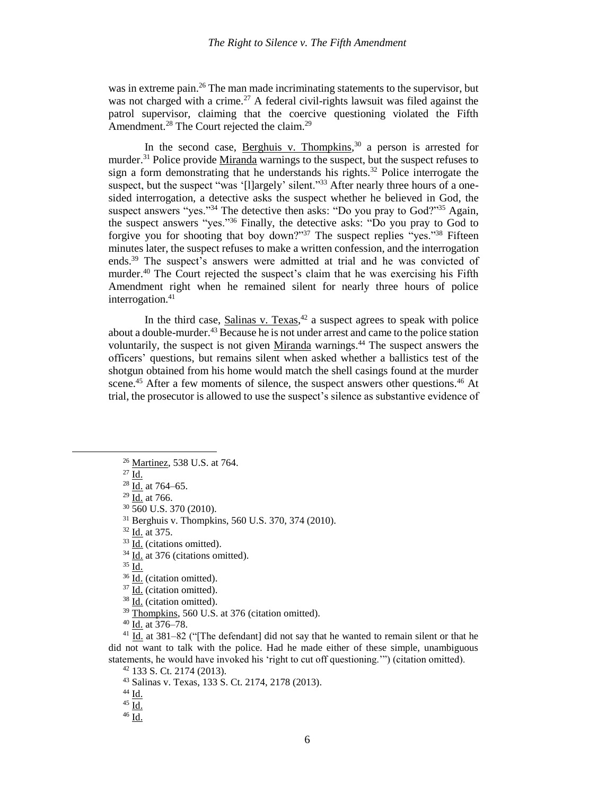was in extreme pain.<sup>26</sup> The man made incriminating statements to the supervisor, but was not charged with a crime.<sup>27</sup> A federal civil-rights lawsuit was filed against the patrol supervisor, claiming that the coercive questioning violated the Fifth Amendment.<sup>28</sup> The Court rejected the claim.<sup>29</sup>

In the second case, Berghuis v. Thompkins,<sup>30</sup> a person is arrested for murder.<sup>31</sup> Police provide Miranda warnings to the suspect, but the suspect refuses to sign a form demonstrating that he understands his rights.<sup>32</sup> Police interrogate the suspect, but the suspect "was '[l]argely' silent."<sup>33</sup> After nearly three hours of a onesided interrogation, a detective asks the suspect whether he believed in God, the suspect answers "yes."<sup>34</sup> The detective then asks: "Do you pray to God?"<sup>35</sup> Again, the suspect answers "yes."<sup>36</sup> Finally, the detective asks: "Do you pray to God to forgive you for shooting that boy down?"<sup>37</sup> The suspect replies "yes."<sup>38</sup> Fifteen minutes later, the suspect refuses to make a written confession, and the interrogation ends. <sup>39</sup> The suspect's answers were admitted at trial and he was convicted of murder.<sup>40</sup> The Court rejected the suspect's claim that he was exercising his Fifth Amendment right when he remained silent for nearly three hours of police interrogation. $41$ 

In the third case,  $Salinas v. Texas<sup>42</sup>$  a suspect agrees to speak with police about a double-murder.<sup>43</sup> Because he is not under arrest and came to the police station voluntarily, the suspect is not given Miranda warnings.<sup>44</sup> The suspect answers the officers' questions, but remains silent when asked whether a ballistics test of the shotgun obtained from his home would match the shell casings found at the murder scene.<sup>45</sup> After a few moments of silence, the suspect answers other questions.<sup>46</sup> At trial, the prosecutor is allowed to use the suspect's silence as substantive evidence of

<sup>27</sup> Id.

 $\overline{\phantom{a}}$ 

 $29$  Id. at 766.

<sup>30</sup> 560 U.S. 370 (2010).

<sup>31</sup> Berghuis v. Thompkins, 560 U.S. 370, 374 (2010).

<sup>32</sup> Id. at 375.

<sup>33</sup> Id. (citations omitted).

<sup>34</sup> Id. at 376 (citations omitted).

 $35 \overline{Id}$ .

<sup>36</sup> Id. (citation omitted).

<sup>37</sup> Id. (citation omitted).

<sup>38</sup> Id. (citation omitted).

<sup>39</sup> Thompkins, 560 U.S. at 376 (citation omitted).

<sup>40</sup> Id. at 376–78.

 $^{41}$  Id. at 381–82 ("The defendant] did not say that he wanted to remain silent or that he did not want to talk with the police. Had he made either of these simple, unambiguous statements, he would have invoked his 'right to cut off questioning.'") (citation omitted).

<sup>42</sup> 133 S. Ct. 2174 (2013).

<sup>43</sup> Salinas v. Texas, 133 S. Ct. 2174, 2178 (2013).

<sup>44</sup> Id.

<sup>45</sup> Id.

 $^{46}$  Id.

<sup>26</sup> Martinez, 538 U.S. at 764.

 $28$  Id. at 764–65.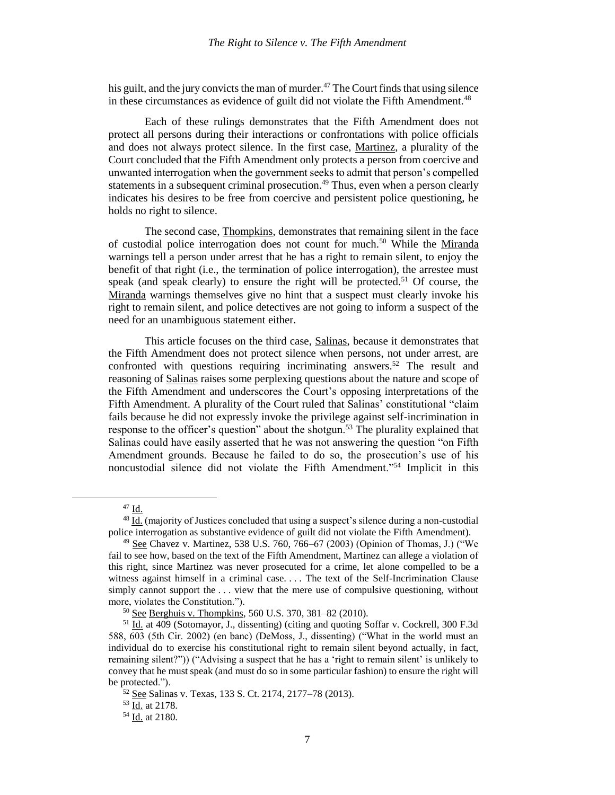his guilt, and the jury convicts the man of murder. $47$  The Court finds that using silence in these circumstances as evidence of guilt did not violate the Fifth Amendment.<sup>48</sup>

Each of these rulings demonstrates that the Fifth Amendment does not protect all persons during their interactions or confrontations with police officials and does not always protect silence. In the first case, Martinez, a plurality of the Court concluded that the Fifth Amendment only protects a person from coercive and unwanted interrogation when the government seeks to admit that person's compelled statements in a subsequent criminal prosecution.<sup>49</sup> Thus, even when a person clearly indicates his desires to be free from coercive and persistent police questioning, he holds no right to silence.

The second case, Thompkins, demonstrates that remaining silent in the face of custodial police interrogation does not count for much.<sup>50</sup> While the Miranda warnings tell a person under arrest that he has a right to remain silent, to enjoy the benefit of that right (i.e., the termination of police interrogation), the arrestee must speak (and speak clearly) to ensure the right will be protected.<sup>51</sup> Of course, the Miranda warnings themselves give no hint that a suspect must clearly invoke his right to remain silent, and police detectives are not going to inform a suspect of the need for an unambiguous statement either.

This article focuses on the third case, Salinas, because it demonstrates that the Fifth Amendment does not protect silence when persons, not under arrest, are confronted with questions requiring incriminating answers.<sup>52</sup> The result and reasoning of Salinas raises some perplexing questions about the nature and scope of the Fifth Amendment and underscores the Court's opposing interpretations of the Fifth Amendment. A plurality of the Court ruled that Salinas' constitutional "claim fails because he did not expressly invoke the privilege against self-incrimination in response to the officer's question" about the shotgun.<sup>53</sup> The plurality explained that Salinas could have easily asserted that he was not answering the question "on Fifth Amendment grounds. Because he failed to do so, the prosecution's use of his noncustodial silence did not violate the Fifth Amendment."<sup>54</sup> Implicit in this

<sup>47</sup> Id.

<sup>48</sup> Id. (majority of Justices concluded that using a suspect's silence during a non-custodial police interrogation as substantive evidence of guilt did not violate the Fifth Amendment).

<sup>&</sup>lt;sup>49</sup> See Chavez v. Martinez, 538 U.S. 760, 766–67 (2003) (Opinion of Thomas, J.) ("We fail to see how, based on the text of the Fifth Amendment, Martinez can allege a violation of this right, since Martinez was never prosecuted for a crime, let alone compelled to be a witness against himself in a criminal case. . . . The text of the Self-Incrimination Clause simply cannot support the ... view that the mere use of compulsive questioning, without more, violates the Constitution.").

<sup>50</sup> See Berghuis v. Thompkins, 560 U.S. 370, 381–82 (2010).

<sup>&</sup>lt;sup>51</sup> Id. at 409 (Sotomayor, J., dissenting) (citing and quoting Soffar v. Cockrell, 300 F.3d 588, 603 (5th Cir. 2002) (en banc) (DeMoss, J., dissenting) ("What in the world must an individual do to exercise his constitutional right to remain silent beyond actually, in fact, remaining silent?")) ("Advising a suspect that he has a 'right to remain silent' is unlikely to convey that he must speak (and must do so in some particular fashion) to ensure the right will be protected.").

<sup>52</sup> See Salinas v. Texas, 133 S. Ct. 2174, 2177–78 (2013).

<sup>53</sup> Id. at 2178.

<sup>54</sup> Id. at 2180.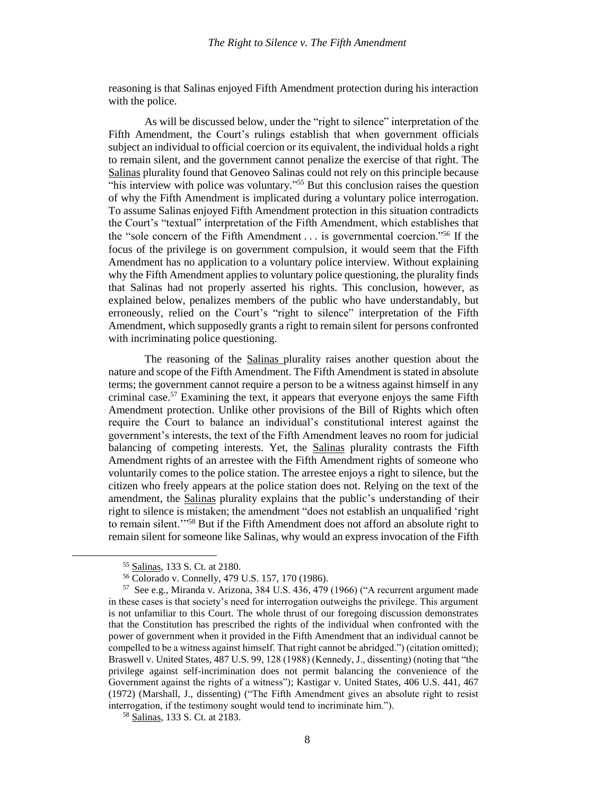reasoning is that Salinas enjoyed Fifth Amendment protection during his interaction with the police.

As will be discussed below, under the "right to silence" interpretation of the Fifth Amendment, the Court's rulings establish that when government officials subject an individual to official coercion or its equivalent, the individual holds a right to remain silent, and the government cannot penalize the exercise of that right. The Salinas plurality found that Genoveo Salinas could not rely on this principle because "his interview with police was voluntary."<sup>55</sup> But this conclusion raises the question of why the Fifth Amendment is implicated during a voluntary police interrogation. To assume Salinas enjoyed Fifth Amendment protection in this situation contradicts the Court's "textual" interpretation of the Fifth Amendment, which establishes that the "sole concern of the Fifth Amendment  $\dots$  is governmental coercion."<sup>56</sup> If the focus of the privilege is on government compulsion, it would seem that the Fifth Amendment has no application to a voluntary police interview. Without explaining why the Fifth Amendment applies to voluntary police questioning, the plurality finds that Salinas had not properly asserted his rights. This conclusion, however, as explained below, penalizes members of the public who have understandably, but erroneously, relied on the Court's "right to silence" interpretation of the Fifth Amendment, which supposedly grants a right to remain silent for persons confronted with incriminating police questioning.

The reasoning of the Salinas plurality raises another question about the nature and scope of the Fifth Amendment. The Fifth Amendment is stated in absolute terms; the government cannot require a person to be a witness against himself in any criminal case.<sup>57</sup> Examining the text, it appears that everyone enjoys the same Fifth Amendment protection. Unlike other provisions of the Bill of Rights which often require the Court to balance an individual's constitutional interest against the government's interests, the text of the Fifth Amendment leaves no room for judicial balancing of competing interests. Yet, the Salinas plurality contrasts the Fifth Amendment rights of an arrestee with the Fifth Amendment rights of someone who voluntarily comes to the police station. The arrestee enjoys a right to silence, but the citizen who freely appears at the police station does not. Relying on the text of the amendment, the Salinas plurality explains that the public's understanding of their right to silence is mistaken; the amendment "does not establish an unqualified 'right to remain silent.'"<sup>58</sup> But if the Fifth Amendment does not afford an absolute right to remain silent for someone like Salinas, why would an express invocation of the Fifth

 $\overline{a}$ 

<sup>58</sup> Salinas, 133 S. Ct. at 2183.

<sup>55</sup> Salinas, 133 S. Ct. at 2180.

<sup>56</sup> Colorado v. Connelly, 479 U.S. 157, 170 (1986).

<sup>57</sup> See e.g., Miranda v. Arizona, 384 U.S. 436, 479 (1966) ("A recurrent argument made in these cases is that society's need for interrogation outweighs the privilege. This argument is not unfamiliar to this Court. The whole thrust of our foregoing discussion demonstrates that the Constitution has prescribed the rights of the individual when confronted with the power of government when it provided in the Fifth Amendment that an individual cannot be compelled to be a witness against himself. That right cannot be abridged.") (citation omitted); Braswell v. United States, 487 U.S. 99, 128 (1988) (Kennedy, J., dissenting) (noting that "the privilege against self-incrimination does not permit balancing the convenience of the Government against the rights of a witness"); Kastigar v. United States, 406 U.S. 441, 467 (1972) (Marshall, J., dissenting) ("The Fifth Amendment gives an absolute right to resist interrogation, if the testimony sought would tend to incriminate him.").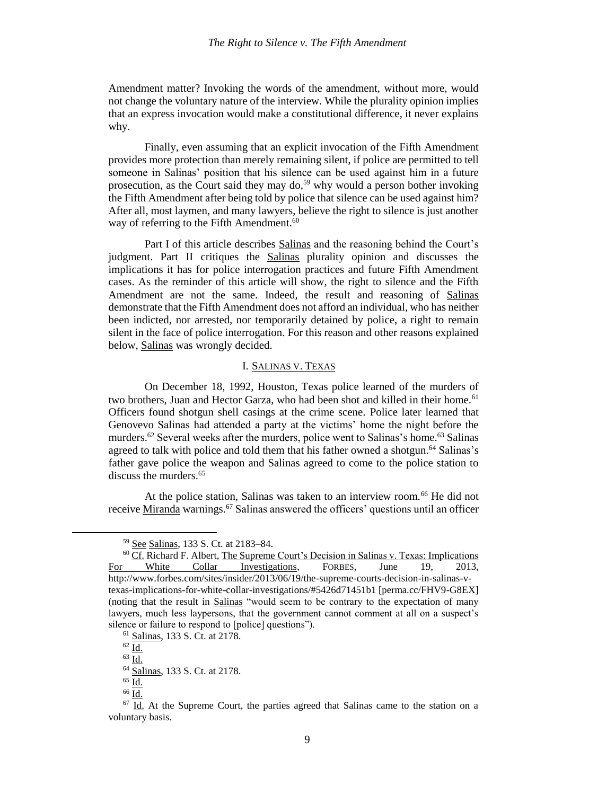Amendment matter? Invoking the words of the amendment, without more, would not change the voluntary nature of the interview. While the plurality opinion implies that an express invocation would make a constitutional difference, it never explains why.

Finally, even assuming that an explicit invocation of the Fifth Amendment provides more protection than merely remaining silent, if police are permitted to tell someone in Salinas' position that his silence can be used against him in a future prosecution, as the Court said they may do,<sup>59</sup> why would a person bother invoking the Fifth Amendment after being told by police that silence can be used against him? After all, most laymen, and many lawyers, believe the right to silence is just another way of referring to the Fifth Amendment.<sup>60</sup>

Part I of this article describes Salinas and the reasoning behind the Court's judgment. Part II critiques the Salinas plurality opinion and discusses the implications it has for police interrogation practices and future Fifth Amendment cases. As the reminder of this article will show, the right to silence and the Fifth Amendment are not the same. Indeed, the result and reasoning of Salinas demonstrate that the Fifth Amendment does not afford an individual, who has neither been indicted, nor arrested, nor temporarily detained by police, a right to remain silent in the face of police interrogation. For this reason and other reasons explained below, Salinas was wrongly decided.

## I. SALINAS V. TEXAS

On December 18, 1992, Houston, Texas police learned of the murders of two brothers, Juan and Hector Garza, who had been shot and killed in their home.<sup>61</sup> Officers found shotgun shell casings at the crime scene. Police later learned that Genovevo Salinas had attended a party at the victims' home the night before the murders.<sup>62</sup> Several weeks after the murders, police went to Salinas's home.<sup>63</sup> Salinas agreed to talk with police and told them that his father owned a shotgun.<sup>64</sup> Salinas's father gave police the weapon and Salinas agreed to come to the police station to discuss the murders.<sup>65</sup>

At the police station, Salinas was taken to an interview room.<sup>66</sup> He did not receive Miranda warnings.<sup>67</sup> Salinas answered the officers' questions until an officer

 $62$  Id.

<sup>59</sup> See Salinas, 133 S. Ct. at 2183–84.

<sup>60</sup> Cf. Richard F. Albert, The Supreme Court's Decision in Salinas v. Texas: Implications White Collar Investigations, FORBES, June 19, 2013, http://www.forbes.com/sites/insider/2013/06/19/the-supreme-courts-decision-in-salinas-vtexas-implications-for-white-collar-investigations/#5426d71451b1 [perma.cc/FHV9-G8EX] (noting that the result in Salinas "would seem to be contrary to the expectation of many lawyers, much less laypersons, that the government cannot comment at all on a suspect's silence or failure to respond to [police] questions").

<sup>61</sup> Salinas, 133 S. Ct. at 2178.

 $63 \overline{Id}$ .

<sup>64</sup> Salinas, 133 S. Ct. at 2178.

 $65$  Id.

<sup>66</sup> Id.

 $67$  Id. At the Supreme Court, the parties agreed that Salinas came to the station on a voluntary basis.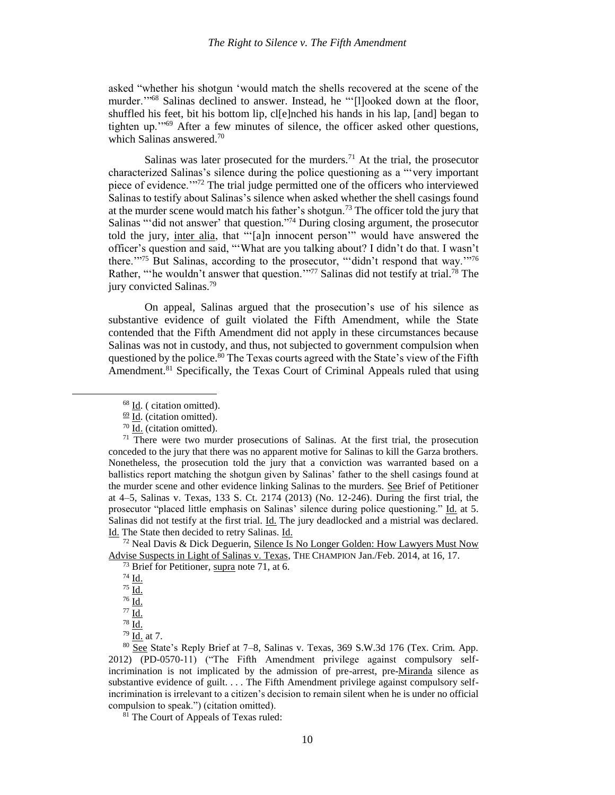asked "whether his shotgun 'would match the shells recovered at the scene of the murder."<sup>68</sup> Salinas declined to answer. Instead, he "'[l]ooked down at the floor, shuffled his feet, bit his bottom lip, cl[e]nched his hands in his lap, [and] began to tighten up.'"<sup>69</sup> After a few minutes of silence, the officer asked other questions, which Salinas answered.<sup>70</sup>

<span id="page-11-1"></span><span id="page-11-0"></span>Salinas was later prosecuted for the murders.<sup>71</sup> At the trial, the prosecutor characterized Salinas's silence during the police questioning as a "'very important piece of evidence.'"<sup>72</sup> The trial judge permitted one of the officers who interviewed Salinas to testify about Salinas's silence when asked whether the shell casings found at the murder scene would match his father's shotgun.<sup>73</sup> The officer told the jury that Salinas "'did not answer' that question."<sup>74</sup> During closing argument, the prosecutor told the jury, inter alia, that "'[a]n innocent person'" would have answered the officer's question and said, "'What are you talking about? I didn't do that. I wasn't there.'"<sup>75</sup> But Salinas, according to the prosecutor, "'didn't respond that way.'"<sup>76</sup> Rather, "'he wouldn't answer that question."<sup>77</sup> Salinas did not testify at trial.<sup>78</sup> The jury convicted Salinas.<sup>79</sup>

On appeal, Salinas argued that the prosecution's use of his silence as substantive evidence of guilt violated the Fifth Amendment, while the State contended that the Fifth Amendment did not apply in these circumstances because Salinas was not in custody, and thus, not subjected to government compulsion when questioned by the police.<sup>80</sup> The Texas courts agreed with the State's view of the Fifth Amendment.<sup>81</sup> Specifically, the Texas Court of Criminal Appeals ruled that using

 $72$  Neal Davis & Dick Deguerin, Silence Is No Longer Golden: How Lawyers Must Now Advise Suspects in Light of Salinas v. Texas, THE CHAMPION Jan./Feb. 2014, at 16, 17.

 $74$   $\underline{\mathbf{Id}}$ .

 $\overline{\phantom{a}}$ 

 $77 \underline{\text{Id.}}$  $78$   $\underline{\text{Id}}$ .

<sup>81</sup> The Court of Appeals of Texas ruled:

<span id="page-11-2"></span><sup>68</sup> Id. ( citation omitted).

 $69$  Id. (citation omitted).

<sup>70</sup> Id. (citation omitted).

 $71$  There were two murder prosecutions of Salinas. At the first trial, the prosecution conceded to the jury that there was no apparent motive for Salinas to kill the Garza brothers. Nonetheless, the prosecution told the jury that a conviction was warranted based on a ballistics report matching the shotgun given by Salinas' father to the shell casings found at the murder scene and other evidence linking Salinas to the murders. See Brief of Petitioner at 4–5, Salinas v. Texas, 133 S. Ct. 2174 (2013) (No. 12-246). During the first trial, the prosecutor "placed little emphasis on Salinas' silence during police questioning." Id. at 5. Salinas did not testify at the first trial. Id. The jury deadlocked and a mistrial was declared. Id. The State then decided to retry Salinas. Id.

 $73$  Brief for Petitioner, supra note [71,](#page-11-0) at 6.

<sup>75</sup> Id.

 $76 \overline{Id}$ .

 $79$   $\underline{Id.}$  at 7.

<sup>80</sup> See State's Reply Brief at 7–8, Salinas v. Texas, 369 S.W.3d 176 (Tex. Crim. App. 2012) (PD-0570-11) ("The Fifth Amendment privilege against compulsory selfincrimination is not implicated by the admission of pre-arrest, pre-Miranda silence as substantive evidence of guilt. . . . The Fifth Amendment privilege against compulsory selfincrimination is irrelevant to a citizen's decision to remain silent when he is under no official compulsion to speak.") (citation omitted).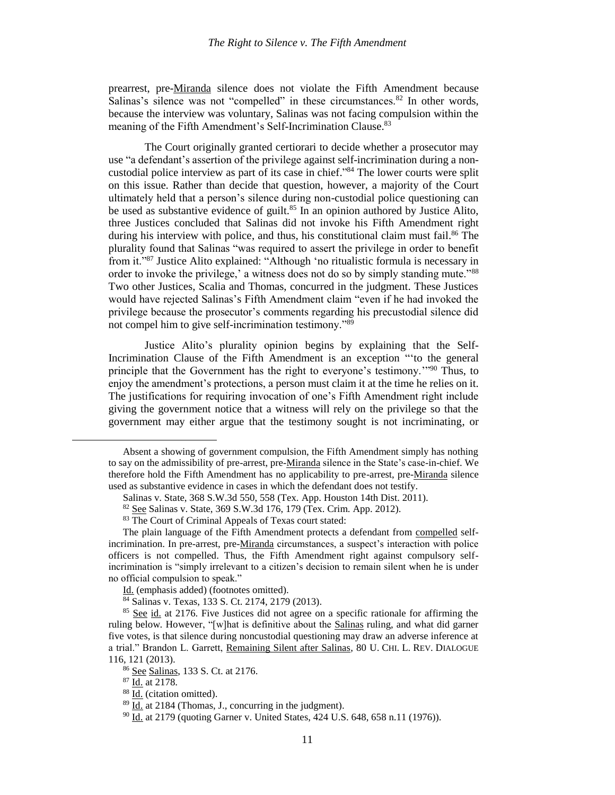prearrest, pre-Miranda silence does not violate the Fifth Amendment because Salinas's silence was not "compelled" in these circumstances. $82$  In other words, because the interview was voluntary, Salinas was not facing compulsion within the meaning of the Fifth Amendment's Self-Incrimination Clause.<sup>83</sup>

<span id="page-12-1"></span><span id="page-12-0"></span>The Court originally granted certiorari to decide whether a prosecutor may use "a defendant's assertion of the privilege against self-incrimination during a noncustodial police interview as part of its case in chief." <sup>84</sup> The lower courts were split on this issue. Rather than decide that question, however, a majority of the Court ultimately held that a person's silence during non-custodial police questioning can be used as substantive evidence of guilt.<sup>85</sup> In an opinion authored by Justice Alito, three Justices concluded that Salinas did not invoke his Fifth Amendment right during his interview with police, and thus, his constitutional claim must fail. $86$  The plurality found that Salinas "was required to assert the privilege in order to benefit from it."<sup>87</sup> Justice Alito explained: "Although 'no ritualistic formula is necessary in order to invoke the privilege,' a witness does not do so by simply standing mute."<sup>88</sup> Two other Justices, Scalia and Thomas, concurred in the judgment. These Justices would have rejected Salinas's Fifth Amendment claim "even if he had invoked the privilege because the prosecutor's comments regarding his precustodial silence did not compel him to give self-incrimination testimony."<sup>89</sup>

Justice Alito's plurality opinion begins by explaining that the Self-Incrimination Clause of the Fifth Amendment is an exception "'to the general principle that the Government has the right to everyone's testimony."<sup>90</sup> Thus, to enjoy the amendment's protections, a person must claim it at the time he relies on it. The justifications for requiring invocation of one's Fifth Amendment right include giving the government notice that a witness will rely on the privilege so that the government may either argue that the testimony sought is not incriminating, or

 $\frac{84}{1}$  Salinas v. Texas, 133 S. Ct. 2174, 2179 (2013).

<sup>87</sup> Id. at 2178.

 $\overline{a}$ 

Absent a showing of government compulsion, the Fifth Amendment simply has nothing to say on the admissibility of pre-arrest, pre-Miranda silence in the State's case-in-chief. We therefore hold the Fifth Amendment has no applicability to pre-arrest, pre-Miranda silence used as substantive evidence in cases in which the defendant does not testify.

Salinas v. State, 368 S.W.3d 550, 558 (Tex. App. Houston 14th Dist. 2011).

<sup>82</sup> See Salinas v. State, 369 S.W.3d 176, 179 (Tex. Crim. App. 2012).

<sup>83</sup> The Court of Criminal Appeals of Texas court stated:

The plain language of the Fifth Amendment protects a defendant from compelled selfincrimination. In pre-arrest, pre-Miranda circumstances, a suspect's interaction with police officers is not compelled. Thus, the Fifth Amendment right against compulsory selfincrimination is "simply irrelevant to a citizen's decision to remain silent when he is under no official compulsion to speak."

Id. (emphasis added) (footnotes omitted).

<sup>&</sup>lt;sup>85</sup> See id. at 2176. Five Justices did not agree on a specific rationale for affirming the ruling below. However, "[w]hat is definitive about the Salinas ruling, and what did garner five votes, is that silence during noncustodial questioning may draw an adverse inference at a trial." Brandon L. Garrett, Remaining Silent after Salinas, 80 U. CHI. L. REV. DIALOGUE 116, 121 (2013).

<sup>86</sup> See Salinas, 133 S. Ct. at 2176.

<sup>&</sup>lt;sup>88</sup> Id. (citation omitted).

 $89 \overline{Id}$ . at 2184 (Thomas, J., concurring in the judgment).

<sup>&</sup>lt;sup>90</sup> Id. at 2179 (quoting Garner v. United States, 424 U.S. 648, 658 n.11 (1976)).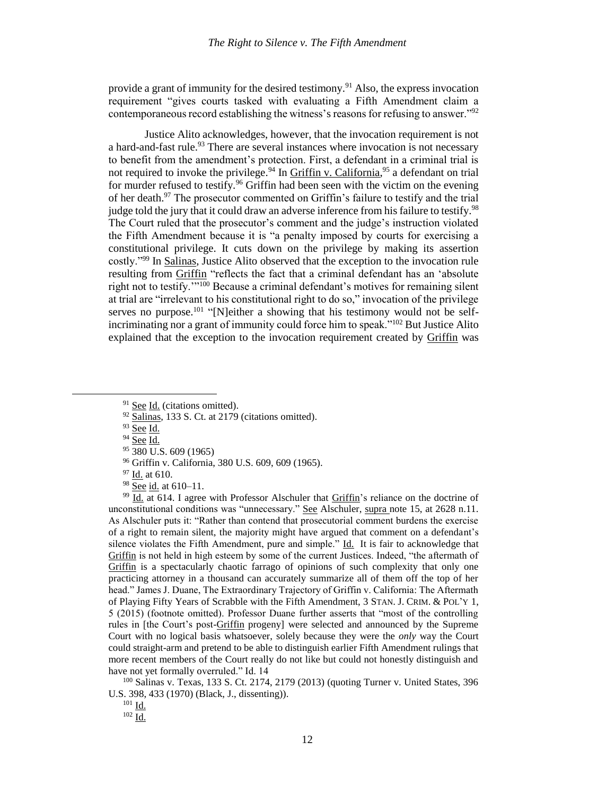provide a grant of immunity for the desired testimony.<sup>91</sup> Also, the express invocation requirement "gives courts tasked with evaluating a Fifth Amendment claim a contemporaneous record establishing the witness's reasons for refusing to answer."<sup>92</sup>

Justice Alito acknowledges, however, that the invocation requirement is not a hard-and-fast rule.<sup>93</sup> There are several instances where invocation is not necessary to benefit from the amendment's protection. First, a defendant in a criminal trial is not required to invoke the privilege.<sup>94</sup> In *Griffin v. California*,<sup>95</sup> a defendant on trial for murder refused to testify.<sup>96</sup> Griffin had been seen with the victim on the evening of her death.<sup>97</sup> The prosecutor commented on Griffin's failure to testify and the trial judge told the jury that it could draw an adverse inference from his failure to testify.<sup>98</sup> The Court ruled that the prosecutor's comment and the judge's instruction violated the Fifth Amendment because it is "a penalty imposed by courts for exercising a constitutional privilege. It cuts down on the privilege by making its assertion costly."<sup>99</sup> In Salinas, Justice Alito observed that the exception to the invocation rule resulting from Griffin "reflects the fact that a criminal defendant has an 'absolute right not to testify.'"<sup>100</sup> Because a criminal defendant's motives for remaining silent at trial are "irrelevant to his constitutional right to do so," invocation of the privilege serves no purpose.<sup>101</sup> "[N]either a showing that his testimony would not be selfincriminating nor a grant of immunity could force him to speak."<sup>102</sup> But Justice Alito explained that the exception to the invocation requirement created by Griffin was

 $\overline{\phantom{a}}$ 

95 380 U.S. 609 (1965)

 $\frac{99}{10}$   $\overline{1d}$ . at 614. I agree with Professor Alschuler that Griffin's reliance on the doctrine of unconstitutional conditions was "unnecessary." See Alschuler, supra note [15,](#page-5-0) at 2628 n.11. As Alschuler puts it: "Rather than contend that prosecutorial comment burdens the exercise of a right to remain silent, the majority might have argued that comment on a defendant's silence violates the Fifth Amendment, pure and simple."  $\underline{Id}$ . It is fair to acknowledge that Griffin is not held in high esteem by some of the current Justices. Indeed, "the aftermath of Griffin is a spectacularly chaotic farrago of opinions of such complexity that only one practicing attorney in a thousand can accurately summarize all of them off the top of her head." James J. Duane, The Extraordinary Trajectory of Griffin v. California: The Aftermath of Playing Fifty Years of Scrabble with the Fifth Amendment, 3 STAN. J. CRIM. & POL'Y 1, 5 (2015) (footnote omitted). Professor Duane further asserts that "most of the controlling rules in [the Court's post-Griffin progeny] were selected and announced by the Supreme Court with no logical basis whatsoever, solely because they were the *only* way the Court could straight-arm and pretend to be able to distinguish earlier Fifth Amendment rulings that more recent members of the Court really do not like but could not honestly distinguish and have not yet formally overruled." Id. 14

<sup>100</sup> Salinas v. Texas, 133 S. Ct. 2174, 2179 (2013) (quoting Turner v. United States, 396 U.S. 398, 433 (1970) (Black, J., dissenting)).

 $102 \underline{Id}$ .

 $91$  See Id. (citations omitted).

<sup>92</sup> Salinas, 133 S. Ct. at 2179 (citations omitted).

<sup>93</sup> See Id.

<sup>&</sup>lt;sup>94</sup> See <u>Id.</u>

<sup>96</sup> Griffin v. California, 380 U.S. 609, 609 (1965).

<sup>97</sup> Id. at 610.

<sup>98</sup> See id. at 610-11.

<sup>101</sup> Id.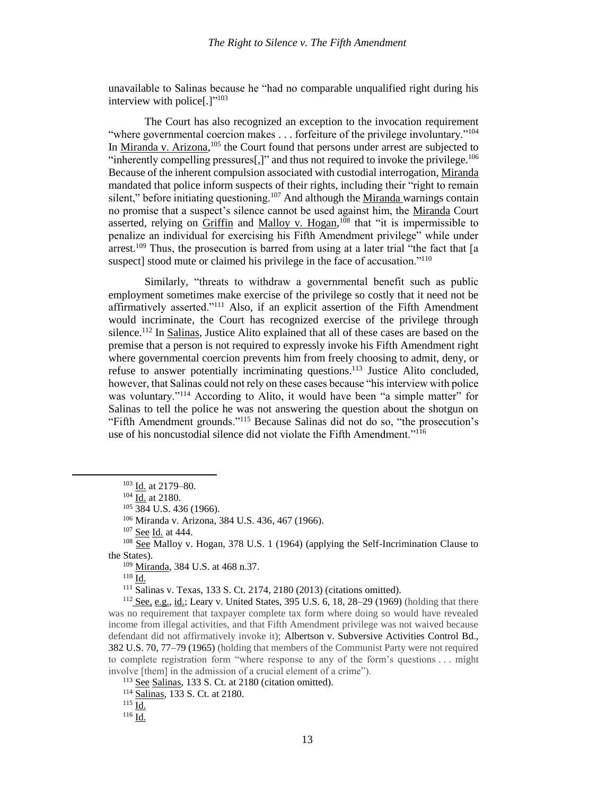unavailable to Salinas because he "had no comparable unqualified right during his interview with police[.]"<sup>103</sup>

The Court has also recognized an exception to the invocation requirement "where governmental coercion makes . . . forfeiture of the privilege involuntary."<sup>104</sup> In Miranda v. Arizona,<sup>105</sup> the Court found that persons under arrest are subjected to "inherently compelling pressures $[$ ,]" and thus not required to invoke the privilege. $^{106}$ Because of the inherent compulsion associated with custodial interrogation, Miranda mandated that police inform suspects of their rights, including their "right to remain silent," before initiating questioning.<sup>107</sup> And although the Miranda warnings contain no promise that a suspect's silence cannot be used against him, the Miranda Court asserted, relying on Griffin and Malloy v. Hogan,<sup>108</sup> that "it is impermissible to penalize an individual for exercising his Fifth Amendment privilege" while under arrest.<sup>109</sup> Thus, the prosecution is barred from using at a later trial "the fact that  $[a]$ suspect] stood mute or claimed his privilege in the face of accusation."<sup>110</sup>

Similarly, "threats to withdraw a governmental benefit such as public employment sometimes make exercise of the privilege so costly that it need not be affirmatively asserted."<sup>111</sup> Also, if an explicit assertion of the Fifth Amendment would incriminate, the Court has recognized exercise of the privilege through silence.<sup>112</sup> In Salinas, Justice Alito explained that all of these cases are based on the premise that a person is not required to expressly invoke his Fifth Amendment right where governmental coercion prevents him from freely choosing to admit, deny, or refuse to answer potentially incriminating questions.<sup>113</sup> Justice Alito concluded, however, that Salinas could not rely on these cases because "his interview with police was voluntary."<sup>114</sup> According to Alito, it would have been "a simple matter" for Salinas to tell the police he was not answering the question about the shotgun on "Fifth Amendment grounds."<sup>115</sup> Because Salinas did not do so, "the prosecution's use of his noncustodial silence did not violate the Fifth Amendment."<sup>116</sup>

 $104 \overline{Id}$  at 2180.

 $105\overline{384}$  U.S. 436 (1966).

<sup>106</sup> Miranda v. Arizona, 384 U.S. 436, 467 (1966).

<sup>107</sup> See Id. at 444.

<sup>108</sup> See Malloy v. Hogan, 378 U.S. 1 (1964) (applying the Self-Incrimination Clause to the States).

<sup>109</sup> Miranda, 384 U.S. at 468 n.37.

<sup>110</sup> Id.

l

<sup>111</sup> Salinas v. Texas, 133 S. Ct. 2174, 2180 (2013) (citations omitted).

<sup>112</sup> See, e.g., id.; Leary v. United States, 395 U.S. 6, 18, 28–29 (1969) (holding that there was no requirement that taxpayer complete tax form where doing so would have revealed income from illegal activities, and that Fifth Amendment privilege was not waived because defendant did not affirmatively invoke it); Albertson v. Subversive Activities Control Bd., 382 U.S. 70, 77–79 (1965) (holding that members of the Communist Party were not required to complete registration form "where response to any of the form's questions . . . might involve [them] in the admission of a crucial element of a crime").

<sup>113</sup> See Salinas, 133 S. Ct. at 2180 (citation omitted).

<sup>114</sup> Salinas, 133 S. Ct. at 2180.

 $116$   $\underline{Id.}$ 

<sup>&</sup>lt;sup>103</sup> Id. at 2179-80.

 $^{115}$  Id.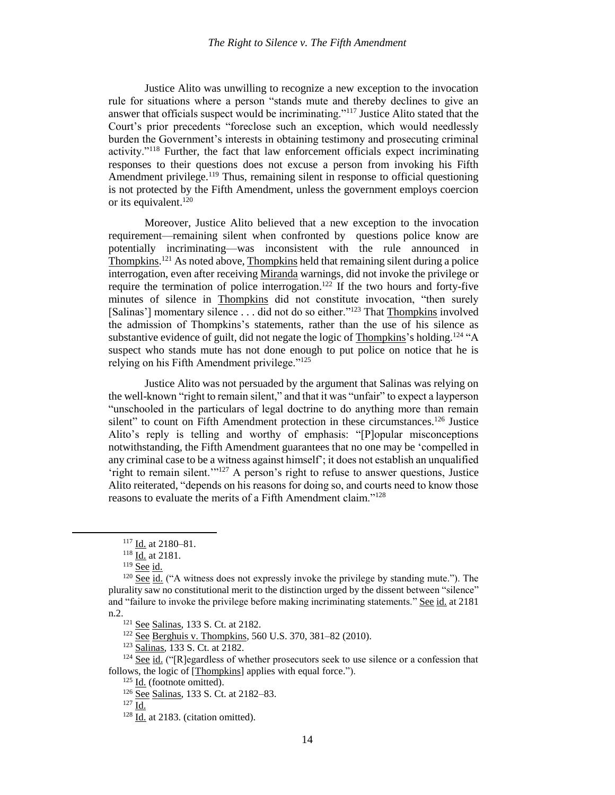Justice Alito was unwilling to recognize a new exception to the invocation rule for situations where a person "stands mute and thereby declines to give an answer that officials suspect would be incriminating."<sup>117</sup> Justice Alito stated that the Court's prior precedents "foreclose such an exception, which would needlessly burden the Government's interests in obtaining testimony and prosecuting criminal activity."<sup>118</sup> Further, the fact that law enforcement officials expect incriminating responses to their questions does not excuse a person from invoking his Fifth Amendment privilege.<sup>119</sup> Thus, remaining silent in response to official questioning is not protected by the Fifth Amendment, unless the government employs coercion or its equivalent. $120$ 

Moreover, Justice Alito believed that a new exception to the invocation requirement—remaining silent when confronted by questions police know are potentially incriminating—was inconsistent with the rule announced in Thompkins.<sup>121</sup> As noted above, Thompkins held that remaining silent during a police interrogation, even after receiving Miranda warnings, did not invoke the privilege or require the termination of police interrogation.<sup>122</sup> If the two hours and forty-five minutes of silence in Thompkins did not constitute invocation, "then surely [Salinas'] momentary silence . . . did not do so either.<sup>"123</sup> That Thompkins involved the admission of Thompkins's statements, rather than the use of his silence as substantive evidence of guilt, did not negate the logic of Thompkins's holding.<sup>124</sup> "A suspect who stands mute has not done enough to put police on notice that he is relying on his Fifth Amendment privilege."<sup>125</sup>

Justice Alito was not persuaded by the argument that Salinas was relying on the well-known "right to remain silent," and that it was "unfair" to expect a layperson "unschooled in the particulars of legal doctrine to do anything more than remain silent" to count on Fifth Amendment protection in these circumstances.<sup>126</sup> Justice Alito's reply is telling and worthy of emphasis: "[P]opular misconceptions notwithstanding, the Fifth Amendment guarantees that no one may be 'compelled in any criminal case to be a witness against himself'; it does not establish an unqualified 'right to remain silent.'"<sup>127</sup> A person's right to refuse to answer questions, Justice Alito reiterated, "depends on his reasons for doing so, and courts need to know those reasons to evaluate the merits of a Fifth Amendment claim."<sup>128</sup>

 $\overline{\phantom{a}}$ 

<sup>122</sup> See Berghuis v. Thompkins, 560 U.S. 370, 381–82 (2010).

<sup>123</sup> Salinas, 133 S. Ct. at 2182.

 $124$  See id. ("[R]egardless of whether prosecutors seek to use silence or a confession that follows, the logic of [Thompkins] applies with equal force.").

<sup>117</sup> Id. at 2180–81.

<sup>&</sup>lt;sup>118</sup> Id. at 2181.

<sup>&</sup>lt;sup>119</sup> See id.

<sup>&</sup>lt;sup>120</sup> See id. ("A witness does not expressly invoke the privilege by standing mute."). The plurality saw no constitutional merit to the distinction urged by the dissent between "silence" and "failure to invoke the privilege before making incriminating statements." See id. at 2181 n.2.

<sup>121</sup> See Salinas, 133 S. Ct. at 2182.

<sup>125</sup> Id. (footnote omitted).

<sup>126</sup> See Salinas, 133 S. Ct. at 2182–83.

 $127 \overline{Id}$ .

 $128$  Id. at 2183. (citation omitted).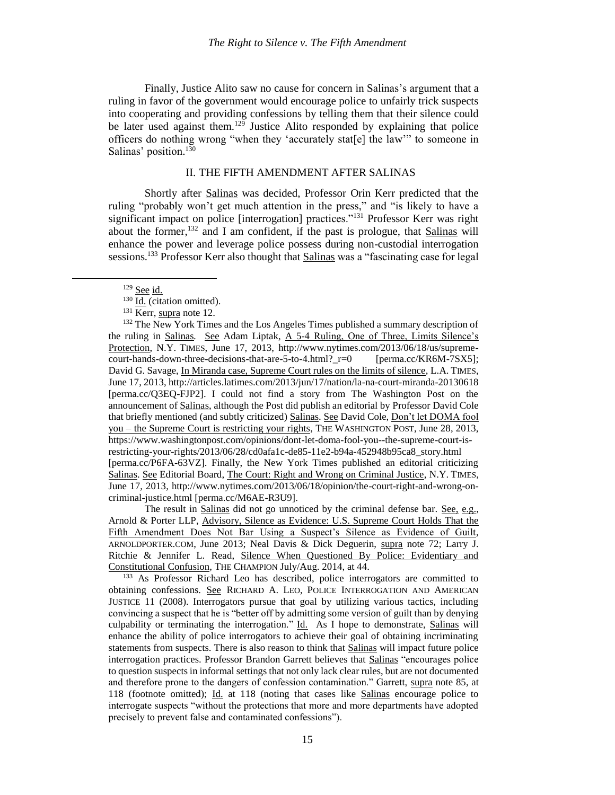Finally, Justice Alito saw no cause for concern in Salinas's argument that a ruling in favor of the government would encourage police to unfairly trick suspects into cooperating and providing confessions by telling them that their silence could be later used against them.<sup>129</sup> Justice Alito responded by explaining that police officers do nothing wrong "when they 'accurately stat[e] the law'" to someone in Salinas' position.<sup>130</sup>

#### <span id="page-16-0"></span>II. THE FIFTH AMENDMENT AFTER SALINAS

Shortly after Salinas was decided, Professor Orin Kerr predicted that the ruling "probably won't get much attention in the press," and "is likely to have a significant impact on police [interrogation] practices."<sup>131</sup> Professor Kerr was right about the former, $132$  and I am confident, if the past is prologue, that Salinas will enhance the power and leverage police possess during non-custodial interrogation sessions.<sup>133</sup> Professor Kerr also thought that **Salinas** was a "fascinating case for legal

 $\overline{a}$ 

<sup>132</sup> The New York Times and the Los Angeles Times published a summary description of the ruling in Salinas*.* See Adam Liptak, A 5-4 Ruling, One of Three, Limits Silence's Protection, N.Y. TIMES, June 17, 2013, http://www.nytimes.com/2013/06/18/us/supremecourt-hands-down-three-decisions-that-are-5-to-4.html?\_r=0 [perma.cc/KR6M-7SX5]; David G. Savage, In Miranda case, Supreme Court rules on the limits of silence, L.A. TIMES, June 17, 2013, http://articles.latimes.com/2013/jun/17/nation/la-na-court-miranda-20130618 [perma.cc/Q3EQ-FJP2]. I could not find a story from The Washington Post on the announcement of Salinas, although the Post did publish an editorial by Professor David Cole that briefly mentioned (and subtly criticized) Salinas. See David Cole, Don't let DOMA fool you – the Supreme Court is restricting your rights, THE WASHINGTON POST, June 28, 2013, https://www.washingtonpost.com/opinions/dont-let-doma-fool-you--the-supreme-court-isrestricting-your-rights/2013/06/28/cd0afa1c-de85-11e2-b94a-452948b95ca8\_story.html [perma.cc/P6FA-63VZ]. Finally, the New York Times published an editorial criticizing Salinas. See Editorial Board, The Court: Right and Wrong on Criminal Justice, N.Y. TIMES, June 17, 2013, http://www.nytimes.com/2013/06/18/opinion/the-court-right-and-wrong-oncriminal-justice.html [perma.cc/M6AE-R3U9].

The result in Salinas did not go unnoticed by the criminal defense bar. See, e.g., Arnold & Porter LLP, Advisory, Silence as Evidence: U.S. Supreme Court Holds That the Fifth Amendment Does Not Bar Using a Suspect's Silence as Evidence of Guilt, ARNOLDPORTER.COM, June 2013; Neal Davis & Dick Deguerin, supra note [72;](#page-11-1) Larry J. Ritchie & Jennifer L. Read, Silence When Questioned By Police: Evidentiary and Constitutional Confusion, THE CHAMPION July/Aug. 2014, at 44.

<sup>133</sup> As Professor Richard Leo has described, police interrogators are committed to obtaining confessions. See RICHARD A. LEO, POLICE INTERROGATION AND AMERICAN JUSTICE 11 (2008). Interrogators pursue that goal by utilizing various tactics, including convincing a suspect that he is "better off by admitting some version of guilt than by denying culpability or terminating the interrogation." Id. As I hope to demonstrate, Salinas will enhance the ability of police interrogators to achieve their goal of obtaining incriminating statements from suspects. There is also reason to think that Salinas will impact future police interrogation practices. Professor Brandon Garrett believes that Salinas "encourages police to question suspects in informal settings that not only lack clear rules, but are not documented and therefore prone to the dangers of confession contamination." Garrett, supra note [85,](#page-12-0) at 118 (footnote omitted); Id. at 118 (noting that cases like Salinas encourage police to interrogate suspects "without the protections that more and more departments have adopted precisely to prevent false and contaminated confessions").

<span id="page-16-1"></span><sup>129</sup> See id.

 $^{130}$   $\overline{\text{Id.}}$  (citation omitted).

<sup>&</sup>lt;sup>131</sup> Kerr, supra note [12.](#page-4-0)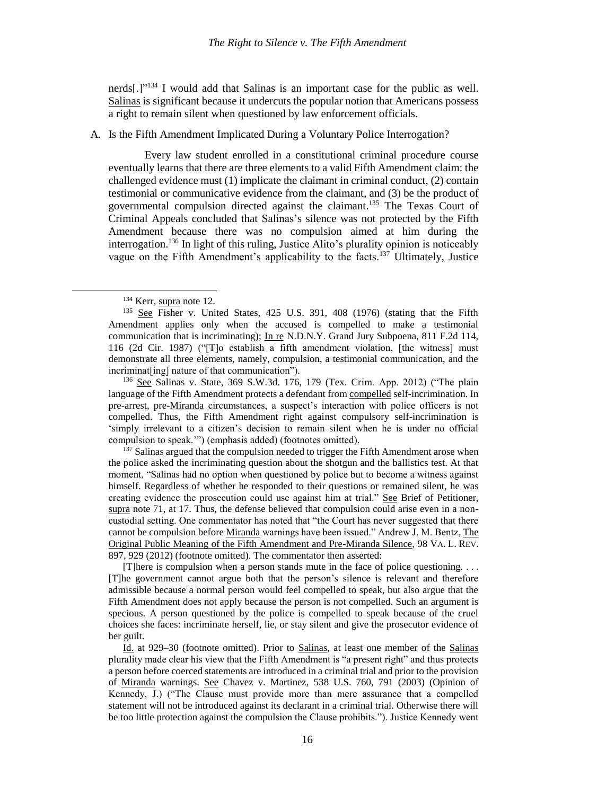nerds $[.]$ <sup>2134</sup> I would add that Salinas is an important case for the public as well. Salinas is significant because it undercuts the popular notion that Americans possess a right to remain silent when questioned by law enforcement officials.

#### A. Is the Fifth Amendment Implicated During a Voluntary Police Interrogation?

Every law student enrolled in a constitutional criminal procedure course eventually learns that there are three elements to a valid Fifth Amendment claim: the challenged evidence must (1) implicate the claimant in criminal conduct, (2) contain testimonial or communicative evidence from the claimant, and (3) be the product of governmental compulsion directed against the claimant. <sup>135</sup> The Texas Court of Criminal Appeals concluded that Salinas's silence was not protected by the Fifth Amendment because there was no compulsion aimed at him during the interrogation. <sup>136</sup> In light of this ruling, Justice Alito's plurality opinion is noticeably vague on the Fifth Amendment's applicability to the facts.<sup>137</sup> Ultimately, Justice

 $\overline{\phantom{a}}$ 

<sup>136</sup> See Salinas v. State, 369 S.W.3d. 176, 179 (Tex. Crim. App. 2012) ("The plain language of the Fifth Amendment protects a defendant from compelled self-incrimination. In pre-arrest, pre-Miranda circumstances, a suspect's interaction with police officers is not compelled. Thus, the Fifth Amendment right against compulsory self-incrimination is 'simply irrelevant to a citizen's decision to remain silent when he is under no official compulsion to speak.'") (emphasis added) (footnotes omitted).

 $137$  Salinas argued that the compulsion needed to trigger the Fifth Amendment arose when the police asked the incriminating question about the shotgun and the ballistics test. At that moment, "Salinas had no option when questioned by police but to become a witness against himself. Regardless of whether he responded to their questions or remained silent, he was creating evidence the prosecution could use against him at trial." See Brief of Petitioner, supra note [71,](#page-11-0) at 17. Thus, the defense believed that compulsion could arise even in a noncustodial setting. One commentator has noted that "the Court has never suggested that there cannot be compulsion before Miranda warnings have been issued." Andrew J. M. Bentz, The Original Public Meaning of the Fifth Amendment and Pre-Miranda Silence, 98 VA. L. REV. 897, 929 (2012) (footnote omitted). The commentator then asserted:

[T]here is compulsion when a person stands mute in the face of police questioning. . . . [T]he government cannot argue both that the person's silence is relevant and therefore admissible because a normal person would feel compelled to speak, but also argue that the Fifth Amendment does not apply because the person is not compelled. Such an argument is specious. A person questioned by the police is compelled to speak because of the cruel choices she faces: incriminate herself, lie, or stay silent and give the prosecutor evidence of her guilt.

Id. at 929–30 (footnote omitted). Prior to Salinas, at least one member of the Salinas plurality made clear his view that the Fifth Amendment is "a present right" and thus protects a person before coerced statements are introduced in a criminal trial and prior to the provision of Miranda warnings. See Chavez v. Martinez, 538 U.S. 760, 791 (2003) (Opinion of Kennedy, J.) ("The Clause must provide more than mere assurance that a compelled statement will not be introduced against its declarant in a criminal trial. Otherwise there will be too little protection against the compulsion the Clause prohibits."). Justice Kennedy went

<span id="page-17-0"></span><sup>&</sup>lt;sup>134</sup> Kerr, supra note [12.](#page-4-0)

<sup>135</sup> See Fisher v. United States, 425 U.S. 391, 408 (1976) (stating that the Fifth Amendment applies only when the accused is compelled to make a testimonial communication that is incriminating); In re N.D.N.Y. Grand Jury Subpoena, 811 F.2d 114, 116 (2d Cir. 1987) ("[T]o establish a fifth amendment violation, [the witness] must demonstrate all three elements, namely, compulsion, a testimonial communication, and the incriminat[ing] nature of that communication").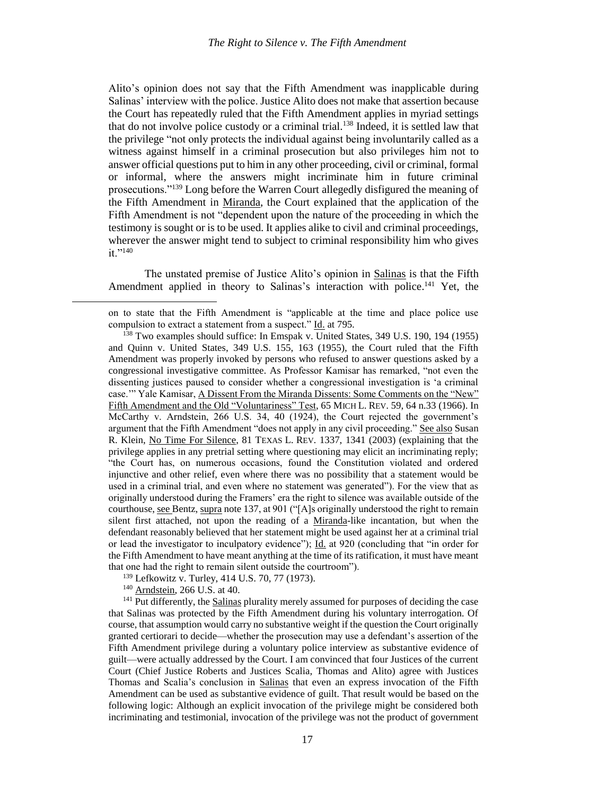Alito's opinion does not say that the Fifth Amendment was inapplicable during Salinas' interview with the police. Justice Alito does not make that assertion because the Court has repeatedly ruled that the Fifth Amendment applies in myriad settings that do not involve police custody or a criminal trial.<sup>138</sup> Indeed, it is settled law that the privilege "not only protects the individual against being involuntarily called as a witness against himself in a criminal prosecution but also privileges him not to answer official questions put to him in any other proceeding, civil or criminal, formal or informal, where the answers might incriminate him in future criminal prosecutions."<sup>139</sup> Long before the Warren Court allegedly disfigured the meaning of the Fifth Amendment in Miranda, the Court explained that the application of the Fifth Amendment is not "dependent upon the nature of the proceeding in which the testimony is sought or is to be used. It applies alike to civil and criminal proceedings, wherever the answer might tend to subject to criminal responsibility him who gives  $it$ .  $140$ 

The unstated premise of Justice Alito's opinion in Salinas is that the Fifth Amendment applied in theory to Salinas's interaction with police.<sup>141</sup> Yet, the

<sup>139</sup> Lefkowitz v. Turley, 414 U.S. 70, 77 (1973).

<sup>140</sup> Arndstein, 266 U.S. at 40.

 $\overline{a}$ 

<sup>141</sup> Put differently, the Salinas plurality merely assumed for purposes of deciding the case that Salinas was protected by the Fifth Amendment during his voluntary interrogation. Of course, that assumption would carry no substantive weight if the question the Court originally granted certiorari to decide—whether the prosecution may use a defendant's assertion of the Fifth Amendment privilege during a voluntary police interview as substantive evidence of guilt—were actually addressed by the Court. I am convinced that four Justices of the current Court (Chief Justice Roberts and Justices Scalia, Thomas and Alito) agree with Justices Thomas and Scalia's conclusion in Salinas that even an express invocation of the Fifth Amendment can be used as substantive evidence of guilt. That result would be based on the following logic: Although an explicit invocation of the privilege might be considered both incriminating and testimonial, invocation of the privilege was not the product of government

on to state that the Fifth Amendment is "applicable at the time and place police use compulsion to extract a statement from a suspect." Id. at 795.

<sup>138</sup> Two examples should suffice: In Emspak v. United States, 349 U.S. 190, 194 (1955) and Quinn v. United States, 349 U.S. 155, 163 (1955), the Court ruled that the Fifth Amendment was properly invoked by persons who refused to answer questions asked by a congressional investigative committee. As Professor Kamisar has remarked, "not even the dissenting justices paused to consider whether a congressional investigation is 'a criminal case.'" Yale Kamisar, A Dissent From the Miranda Dissents: Some Comments on the "New" Fifth Amendment and the Old "Voluntariness" Test, 65 MICH L. REV. 59, 64 n.33 (1966). In McCarthy v. Arndstein, 266 U.S. 34, 40 (1924), the Court rejected the government's argument that the Fifth Amendment "does not apply in any civil proceeding." See also Susan R. Klein, No Time For Silence, 81 TEXAS L. REV. 1337, 1341 (2003) (explaining that the privilege applies in any pretrial setting where questioning may elicit an incriminating reply; "the Court has, on numerous occasions, found the Constitution violated and ordered injunctive and other relief, even where there was no possibility that a statement would be used in a criminal trial, and even where no statement was generated"). For the view that as originally understood during the Framers' era the right to silence was available outside of the courthouse, see Bentz, supra not[e 137,](#page-17-0) at 901 ("[A]s originally understood the right to remain silent first attached, not upon the reading of a Miranda-like incantation, but when the defendant reasonably believed that her statement might be used against her at a criminal trial or lead the investigator to inculpatory evidence"); Id. at 920 (concluding that "in order for the Fifth Amendment to have meant anything at the time of its ratification, it must have meant that one had the right to remain silent outside the courtroom").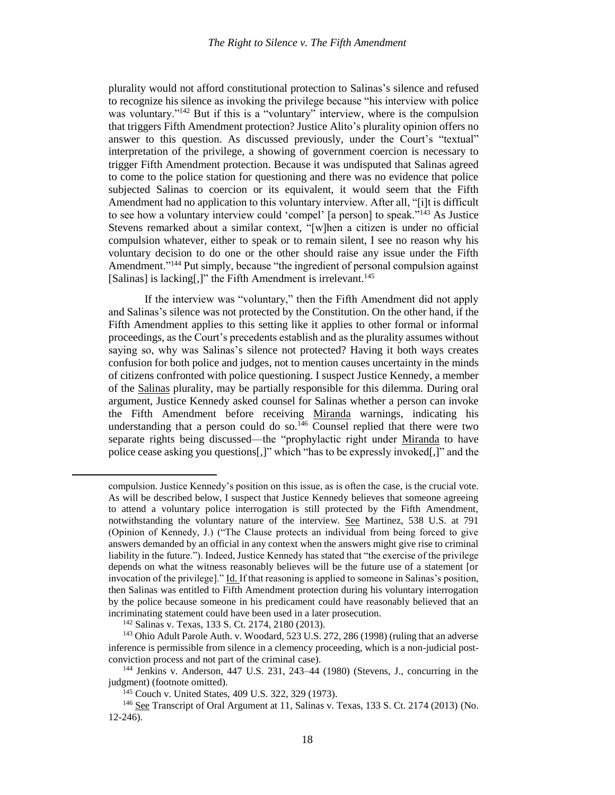plurality would not afford constitutional protection to Salinas's silence and refused to recognize his silence as invoking the privilege because "his interview with police was voluntary."<sup>142</sup> But if this is a "voluntary" interview, where is the compulsion that triggers Fifth Amendment protection? Justice Alito's plurality opinion offers no answer to this question. As discussed previously, under the Court's "textual" interpretation of the privilege, a showing of government coercion is necessary to trigger Fifth Amendment protection. Because it was undisputed that Salinas agreed to come to the police station for questioning and there was no evidence that police subjected Salinas to coercion or its equivalent, it would seem that the Fifth Amendment had no application to this voluntary interview. After all, "[i]t is difficult to see how a voluntary interview could 'compel' [a person] to speak."<sup>143</sup> As Justice Stevens remarked about a similar context, "[w]hen a citizen is under no official compulsion whatever, either to speak or to remain silent, I see no reason why his voluntary decision to do one or the other should raise any issue under the Fifth Amendment."<sup>144</sup> Put simply, because "the ingredient of personal compulsion against [Salinas] is lacking[,]" the Fifth Amendment is irrelevant.<sup>145</sup>

If the interview was "voluntary," then the Fifth Amendment did not apply and Salinas's silence was not protected by the Constitution. On the other hand, if the Fifth Amendment applies to this setting like it applies to other formal or informal proceedings, as the Court's precedents establish and as the plurality assumes without saying so, why was Salinas's silence not protected? Having it both ways creates confusion for both police and judges, not to mention causes uncertainty in the minds of citizens confronted with police questioning. I suspect Justice Kennedy, a member of the Salinas plurality, may be partially responsible for this dilemma. During oral argument, Justice Kennedy asked counsel for Salinas whether a person can invoke the Fifth Amendment before receiving Miranda warnings, indicating his understanding that a person could do so.<sup>146</sup> Counsel replied that there were two separate rights being discussed—the "prophylactic right under Miranda to have police cease asking you questions[,]" which "has to be expressly invoked[,]" and the

l

<span id="page-19-0"></span>compulsion. Justice Kennedy's position on this issue, as is often the case, is the crucial vote. As will be described below, I suspect that Justice Kennedy believes that someone agreeing to attend a voluntary police interrogation is still protected by the Fifth Amendment, notwithstanding the voluntary nature of the interview. See Martinez, 538 U.S. at 791 (Opinion of Kennedy, J.) ("The Clause protects an individual from being forced to give answers demanded by an official in any context when the answers might give rise to criminal liability in the future."). Indeed, Justice Kennedy has stated that "the exercise of the privilege depends on what the witness reasonably believes will be the future use of a statement [or invocation of the privilege]." Id. If that reasoning is applied to someone in Salinas's position, then Salinas was entitled to Fifth Amendment protection during his voluntary interrogation by the police because someone in his predicament could have reasonably believed that an incriminating statement could have been used in a later prosecution.

<sup>142</sup> Salinas v. Texas, 133 S. Ct. 2174, 2180 (2013).

<sup>143</sup> Ohio Adult Parole Auth. v. Woodard, 523 U.S. 272, 286 (1998) (ruling that an adverse inference is permissible from silence in a clemency proceeding, which is a non-judicial postconviction process and not part of the criminal case).

<sup>144</sup> Jenkins v. Anderson, 447 U.S. 231, 243–44 (1980) (Stevens, J., concurring in the judgment) (footnote omitted).

<sup>145</sup> Couch v. United States, 409 U.S. 322, 329 (1973).

<sup>146</sup> See Transcript of Oral Argument at 11, Salinas v. Texas, 133 S. Ct. 2174 (2013) (No. 12-246).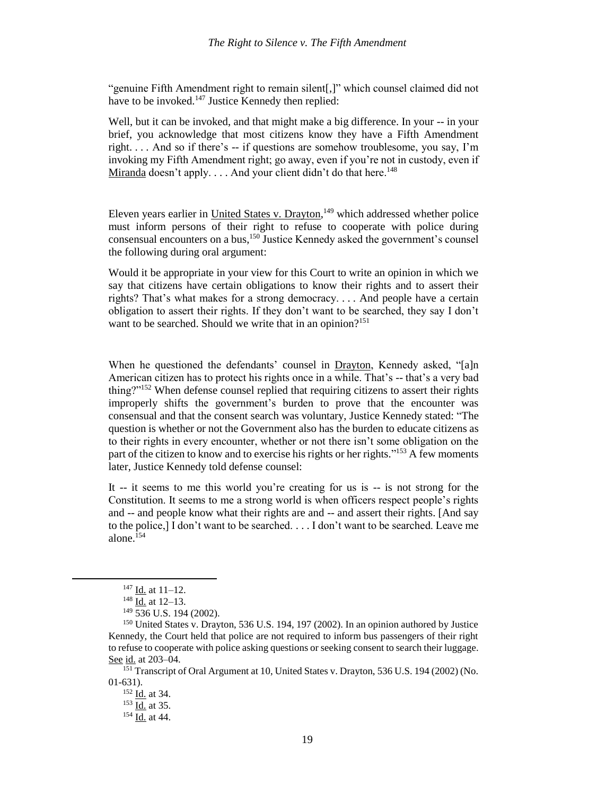"genuine Fifth Amendment right to remain silent[,]" which counsel claimed did not have to be invoked.<sup>147</sup> Justice Kennedy then replied:

Well, but it can be invoked, and that might make a big difference. In your -- in your brief, you acknowledge that most citizens know they have a Fifth Amendment right.  $\ldots$  And so if there's  $-$  if questions are somehow troublesome, you say, I'm invoking my Fifth Amendment right; go away, even if you're not in custody, even if Miranda doesn't apply.  $\ldots$  And your client didn't do that here.<sup>148</sup>

Eleven years earlier in United States v. Drayton, <sup>149</sup> which addressed whether police must inform persons of their right to refuse to cooperate with police during consensual encounters on a bus, <sup>150</sup> Justice Kennedy asked the government's counsel the following during oral argument:

Would it be appropriate in your view for this Court to write an opinion in which we say that citizens have certain obligations to know their rights and to assert their rights? That's what makes for a strong democracy. . . . And people have a certain obligation to assert their rights. If they don't want to be searched, they say I don't want to be searched. Should we write that in an opinion?<sup>151</sup>

When he questioned the defendants' counsel in Drayton, Kennedy asked, "[a]n American citizen has to protect his rights once in a while. That's -- that's a very bad thing?"<sup>152</sup> When defense counsel replied that requiring citizens to assert their rights improperly shifts the government's burden to prove that the encounter was consensual and that the consent search was voluntary, Justice Kennedy stated: "The question is whether or not the Government also has the burden to educate citizens as to their rights in every encounter, whether or not there isn't some obligation on the part of the citizen to know and to exercise his rights or her rights."<sup>153</sup> A few moments later, Justice Kennedy told defense counsel:

It -- it seems to me this world you're creating for us is -- is not strong for the Constitution. It seems to me a strong world is when officers respect people's rights and -- and people know what their rights are and -- and assert their rights. [And say to the police,] I don't want to be searched. . . . I don't want to be searched. Leave me alone. $154$ 

 $\overline{a}$ 

 $147$  <u>Id.</u> at 11–12.

 $148$  Id. at 12–13.

 $149\overline{536}$  U.S. 194 (2002).

<sup>150</sup> United States v. Drayton, 536 U.S. 194, 197 (2002). In an opinion authored by Justice Kennedy, the Court held that police are not required to inform bus passengers of their right to refuse to cooperate with police asking questions or seeking consent to search their luggage. See id. at 203-04.

<sup>151</sup> Transcript of Oral Argument at 10, United States v. Drayton, 536 U.S. 194 (2002) (No. 01-631).

<sup>&</sup>lt;sup>152</sup> Id. at 34.

 $153$  Id. at 35.

<sup>&</sup>lt;sup>154</sup> Id. at 44.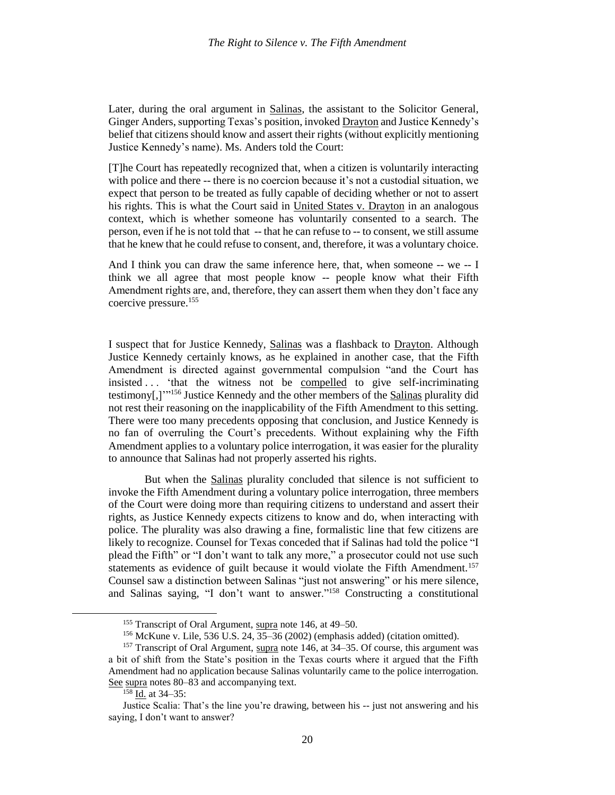Later, during the oral argument in Salinas, the assistant to the Solicitor General, Ginger Anders, supporting Texas's position, invoked Drayton and Justice Kennedy's belief that citizens should know and assert their rights (without explicitly mentioning Justice Kennedy's name). Ms. Anders told the Court:

[T]he Court has repeatedly recognized that, when a citizen is voluntarily interacting with police and there -- there is no coercion because it's not a custodial situation, we expect that person to be treated as fully capable of deciding whether or not to assert his rights. This is what the Court said in United States v. Drayton in an analogous context, which is whether someone has voluntarily consented to a search. The person, even if he is not told that -- that he can refuse to -- to consent, we still assume that he knew that he could refuse to consent, and, therefore, it was a voluntary choice.

And I think you can draw the same inference here, that, when someone -- we -- I think we all agree that most people know -- people know what their Fifth Amendment rights are, and, therefore, they can assert them when they don't face any coercive pressure.<sup>155</sup>

I suspect that for Justice Kennedy, Salinas was a flashback to Drayton. Although Justice Kennedy certainly knows, as he explained in another case, that the Fifth Amendment is directed against governmental compulsion "and the Court has insisted . . . 'that the witness not be compelled to give self-incriminating testimony[,]<sup>''156</sup> Justice Kennedy and the other members of the **Salinas** plurality did not rest their reasoning on the inapplicability of the Fifth Amendment to this setting. There were too many precedents opposing that conclusion, and Justice Kennedy is no fan of overruling the Court's precedents. Without explaining why the Fifth Amendment applies to a voluntary police interrogation, it was easier for the plurality to announce that Salinas had not properly asserted his rights.

But when the Salinas plurality concluded that silence is not sufficient to invoke the Fifth Amendment during a voluntary police interrogation, three members of the Court were doing more than requiring citizens to understand and assert their rights, as Justice Kennedy expects citizens to know and do, when interacting with police. The plurality was also drawing a fine, formalistic line that few citizens are likely to recognize. Counsel for Texas conceded that if Salinas had told the police "I plead the Fifth" or "I don't want to talk any more," a prosecutor could not use such statements as evidence of guilt because it would violate the Fifth Amendment.<sup>157</sup> Counsel saw a distinction between Salinas "just not answering" or his mere silence, and Salinas saying, "I don't want to answer." <sup>158</sup> Constructing a constitutional

<sup>&</sup>lt;sup>155</sup> Transcript of Oral Argument, supra note [146,](#page-19-0) at 49–50.

<sup>&</sup>lt;sup>156</sup> McKune v. Lile, 536 U.S. 24,  $35-36$  (2002) (emphasis added) (citation omitted).

<sup>&</sup>lt;sup>157</sup> Transcript of Oral Argument, supra note [146,](#page-19-0) at 34-35. Of course, this argument was a bit of shift from the State's position in the Texas courts where it argued that the Fifth Amendment had no application because Salinas voluntarily came to the police interrogation. See supra note[s 80](#page-11-2)[–83](#page-12-1) and accompanying text.

<sup>158</sup> Id. at 34–35:

Justice Scalia: That's the line you're drawing, between his -- just not answering and his saying, I don't want to answer?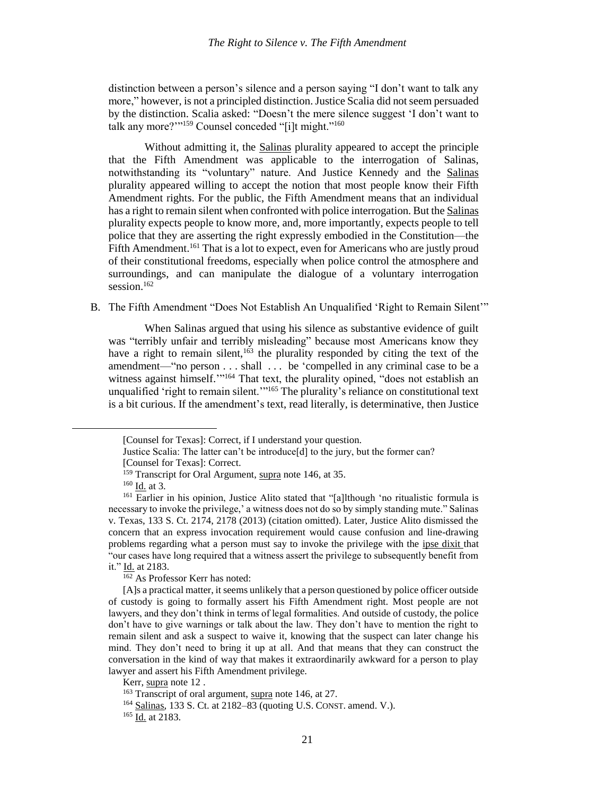distinction between a person's silence and a person saying "I don't want to talk any more," however, is not a principled distinction. Justice Scalia did not seem persuaded by the distinction. Scalia asked: "Doesn't the mere silence suggest 'I don't want to talk any more?"<sup>159</sup> Counsel conceded "[i]t might."<sup>160</sup>

Without admitting it, the Salinas plurality appeared to accept the principle that the Fifth Amendment was applicable to the interrogation of Salinas, notwithstanding its "voluntary" nature. And Justice Kennedy and the Salinas plurality appeared willing to accept the notion that most people know their Fifth Amendment rights. For the public, the Fifth Amendment means that an individual has a right to remain silent when confronted with police interrogation. But the Salinas plurality expects people to know more, and, more importantly, expects people to tell police that they are asserting the right expressly embodied in the Constitution—the Fifth Amendment.<sup>161</sup> That is a lot to expect, even for Americans who are justly proud of their constitutional freedoms, especially when police control the atmosphere and surroundings, and can manipulate the dialogue of a voluntary interrogation session. 162

B. The Fifth Amendment "Does Not Establish An Unqualified 'Right to Remain Silent'"

When Salinas argued that using his silence as substantive evidence of guilt was "terribly unfair and terribly misleading" because most Americans know they have a right to remain silent,  $163$  the plurality responded by citing the text of the amendment—"no person . . . shall . . . be 'compelled in any criminal case to be a witness against himself."<sup>164</sup> That text, the plurality opined, "does not establish an unqualified 'right to remain silent.'"<sup>165</sup> The plurality's reliance on constitutional text is a bit curious. If the amendment's text, read literally, is determinative, then Justice

 $160$  <u>Id.</u> at 3.

 $\overline{\phantom{a}}$ 

 $\frac{162}{162}$  As Professor Kerr has noted:

[A]s a practical matter, it seems unlikely that a person questioned by police officer outside of custody is going to formally assert his Fifth Amendment right. Most people are not lawyers, and they don't think in terms of legal formalities. And outside of custody, the police don't have to give warnings or talk about the law. They don't have to mention the right to remain silent and ask a suspect to waive it, knowing that the suspect can later change his mind. They don't need to bring it up at all. And that means that they can construct the conversation in the kind of way that makes it extraordinarily awkward for a person to play lawyer and assert his Fifth Amendment privilege.

<sup>[</sup>Counsel for Texas]: Correct, if I understand your question.

Justice Scalia: The latter can't be introduce[d] to the jury, but the former can? [Counsel for Texas]: Correct.

<sup>&</sup>lt;sup>159</sup> Transcript for Oral Argument, supra note [146,](#page-19-0) at 35.

 $^{161}$  Earlier in his opinion, Justice Alito stated that "[a]lthough 'no ritualistic formula is necessary to invoke the privilege,' a witness does not do so by simply standing mute." Salinas v. Texas, 133 S. Ct. 2174, 2178 (2013) (citation omitted). Later, Justice Alito dismissed the concern that an express invocation requirement would cause confusion and line-drawing problems regarding what a person must say to invoke the privilege with the ipse dixit that "our cases have long required that a witness assert the privilege to subsequently benefit from it." Id. at 2183.

Kerr, supra not[e 12](#page-4-0) .

<sup>163</sup> Transcript of oral argument, supra note [146,](#page-19-0) at 27.

<sup>164</sup> Salinas, 133 S. Ct. at 2182–83 (quoting U.S. CONST. amend. V.).

<sup>165</sup> Id. at 2183.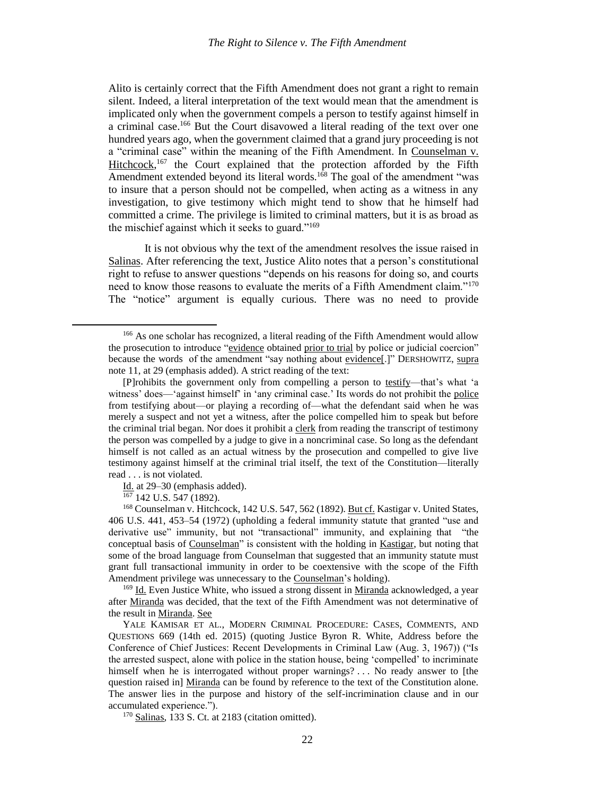Alito is certainly correct that the Fifth Amendment does not grant a right to remain silent. Indeed, a literal interpretation of the text would mean that the amendment is implicated only when the government compels a person to testify against himself in a criminal case.<sup>166</sup> But the Court disavowed a literal reading of the text over one hundred years ago, when the government claimed that a grand jury proceeding is not a "criminal case" within the meaning of the Fifth Amendment. In Counselman v. Hitchcock,<sup>167</sup> the Court explained that the protection afforded by the Fifth Amendment extended beyond its literal words.<sup>168</sup> The goal of the amendment "was to insure that a person should not be compelled, when acting as a witness in any investigation, to give testimony which might tend to show that he himself had committed a crime. The privilege is limited to criminal matters, but it is as broad as the mischief against which it seeks to guard."<sup>169</sup>

It is not obvious why the text of the amendment resolves the issue raised in Salinas. After referencing the text, Justice Alito notes that a person's constitutional right to refuse to answer questions "depends on his reasons for doing so, and courts need to know those reasons to evaluate the merits of a Fifth Amendment claim."<sup>170</sup> The "notice" argument is equally curious. There was no need to provide

 $\frac{167}{167}$  142 U.S. 547 (1892).

 $\overline{\phantom{a}}$ 

<sup>169</sup> Id. Even Justice White, who issued a strong dissent in Miranda acknowledged, a year after Miranda was decided, that the text of the Fifth Amendment was not determinative of the result in Miranda. See

YALE KAMISAR ET AL., MODERN CRIMINAL PROCEDURE: CASES, COMMENTS, AND QUESTIONS 669 (14th ed. 2015) (quoting Justice Byron R. White, Address before the Conference of Chief Justices: Recent Developments in Criminal Law (Aug. 3, 1967)) ("Is the arrested suspect, alone with police in the station house, being 'compelled' to incriminate himself when he is interrogated without proper warnings? ... No ready answer to [the question raised in] Miranda can be found by reference to the text of the Constitution alone. The answer lies in the purpose and history of the self-incrimination clause and in our accumulated experience.").

<sup>170</sup> Salinas, 133 S. Ct. at 2183 (citation omitted).

<sup>&</sup>lt;sup>166</sup> As one scholar has recognized, a literal reading of the Fifth Amendment would allow the prosecution to introduce "evidence obtained prior to trial by police or judicial coercion" because the words of the amendment "say nothing about evidence[.]" DERSHOWITZ, supra not[e 11,](#page-4-1) at 29 (emphasis added). A strict reading of the text:

<sup>[</sup>P]rohibits the government only from compelling a person to testify—that's what 'a witness' does—'against himself' in 'any criminal case.' Its words do not prohibit the police from testifying about—or playing a recording of—what the defendant said when he was merely a suspect and not yet a witness, after the police compelled him to speak but before the criminal trial began. Nor does it prohibit a clerk from reading the transcript of testimony the person was compelled by a judge to give in a noncriminal case. So long as the defendant himself is not called as an actual witness by the prosecution and compelled to give live testimony against himself at the criminal trial itself, the text of the Constitution—literally read . . . is not violated.

Id. at 29–30 (emphasis added).

<sup>168</sup> Counselman v. Hitchcock, 142 U.S. 547, 562 (1892). But cf. Kastigar v. United States, 406 U.S. 441, 453–54 (1972) (upholding a federal immunity statute that granted "use and derivative use" immunity, but not "transactional" immunity, and explaining that "the conceptual basis of Counselman" is consistent with the holding in Kastigar, but noting that some of the broad language from Counselman that suggested that an immunity statute must grant full transactional immunity in order to be coextensive with the scope of the Fifth Amendment privilege was unnecessary to the Counselman's holding).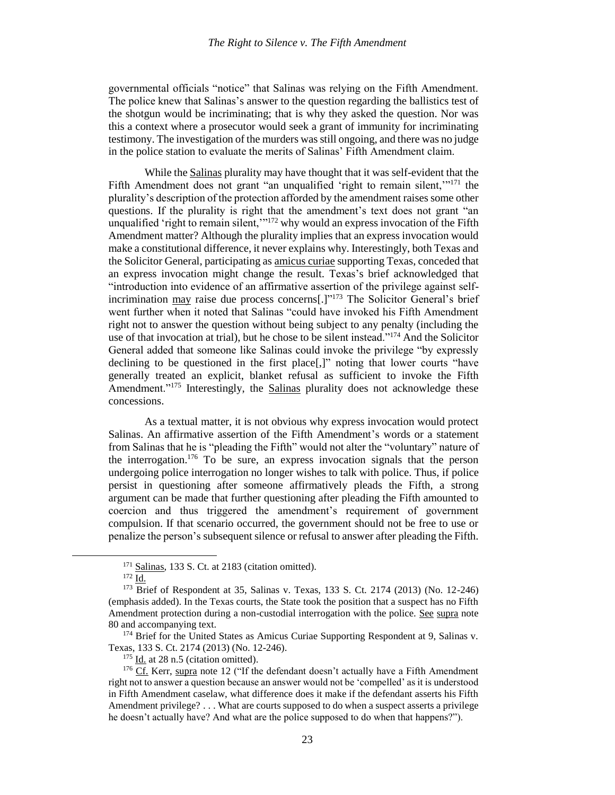governmental officials "notice" that Salinas was relying on the Fifth Amendment. The police knew that Salinas's answer to the question regarding the ballistics test of the shotgun would be incriminating; that is why they asked the question. Nor was this a context where a prosecutor would seek a grant of immunity for incriminating testimony. The investigation of the murders wasstill ongoing, and there was no judge in the police station to evaluate the merits of Salinas' Fifth Amendment claim.

While the Salinas plurality may have thought that it was self-evident that the Fifth Amendment does not grant "an unqualified 'right to remain silent,"<sup>171</sup> the plurality's description of the protection afforded by the amendment raises some other questions. If the plurality is right that the amendment's text does not grant "an unqualified 'right to remain silent,"<sup>172</sup> why would an express invocation of the Fifth Amendment matter? Although the plurality implies that an express invocation would make a constitutional difference, it never explains why. Interestingly, both Texas and the Solicitor General, participating as amicus curiae supporting Texas, conceded that an express invocation might change the result. Texas's brief acknowledged that "introduction into evidence of an affirmative assertion of the privilege against selfincrimination may raise due process concerns[.]"<sup>173</sup> The Solicitor General's brief went further when it noted that Salinas "could have invoked his Fifth Amendment right not to answer the question without being subject to any penalty (including the use of that invocation at trial), but he chose to be silent instead."<sup>174</sup> And the Solicitor General added that someone like Salinas could invoke the privilege "by expressly declining to be questioned in the first place[,]" noting that lower courts "have generally treated an explicit, blanket refusal as sufficient to invoke the Fifth Amendment."<sup>175</sup> Interestingly, the Salinas plurality does not acknowledge these concessions.

<span id="page-24-0"></span>As a textual matter, it is not obvious why express invocation would protect Salinas. An affirmative assertion of the Fifth Amendment's words or a statement from Salinas that he is "pleading the Fifth" would not alter the "voluntary" nature of the interrogation.<sup>176</sup> To be sure, an express invocation signals that the person undergoing police interrogation no longer wishes to talk with police. Thus, if police persist in questioning after someone affirmatively pleads the Fifth, a strong argument can be made that further questioning after pleading the Fifth amounted to coercion and thus triggered the amendment's requirement of government compulsion. If that scenario occurred, the government should not be free to use or penalize the person's subsequent silence or refusal to answer after pleading the Fifth.

 $\overline{a}$ 

<sup>&</sup>lt;sup>171</sup> Salinas, 133 S. Ct. at 2183 (citation omitted).

<sup>172</sup> Id.

<sup>173</sup> Brief of Respondent at 35, Salinas v. Texas, 133 S. Ct. 2174 (2013) (No. 12-246) (emphasis added). In the Texas courts, the State took the position that a suspect has no Fifth Amendment protection during a non-custodial interrogation with the police. See supra note [80](#page-11-2) and accompanying text.

<sup>&</sup>lt;sup>174</sup> Brief for the United States as Amicus Curiae Supporting Respondent at 9, Salinas v. Texas, 133 S. Ct. 2174 (2013) (No. 12-246).

 $175$  Id. at 28 n.5 (citation omitted).

<sup>&</sup>lt;sup>176</sup> Cf. Kerr, supra note [12](#page-4-0) ("If the defendant doesn't actually have a Fifth Amendment right not to answer a question because an answer would not be 'compelled' as it is understood in Fifth Amendment caselaw, what difference does it make if the defendant asserts his Fifth Amendment privilege? . . . What are courts supposed to do when a suspect asserts a privilege he doesn't actually have? And what are the police supposed to do when that happens?").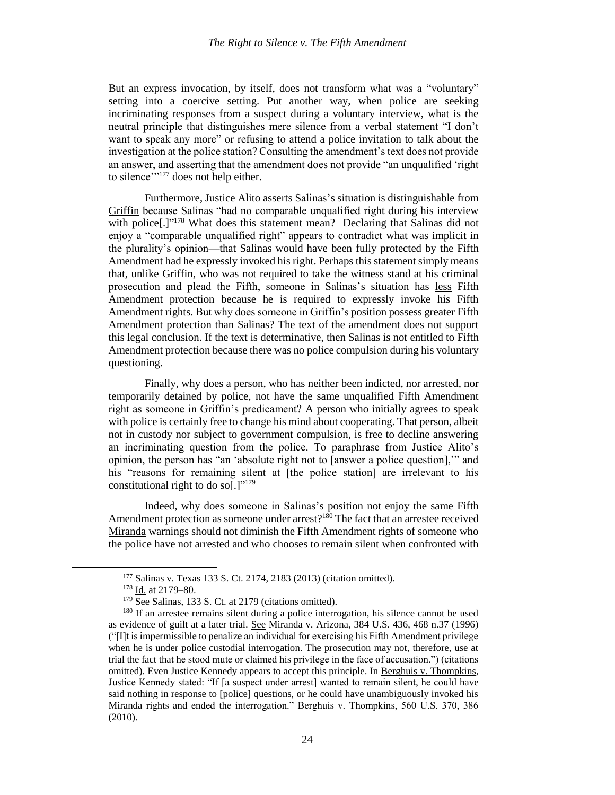But an express invocation, by itself, does not transform what was a "voluntary" setting into a coercive setting. Put another way, when police are seeking incriminating responses from a suspect during a voluntary interview, what is the neutral principle that distinguishes mere silence from a verbal statement "I don't want to speak any more" or refusing to attend a police invitation to talk about the investigation at the police station? Consulting the amendment's text does not provide an answer, and asserting that the amendment does not provide "an unqualified 'right to silence"<sup>177</sup> does not help either.

Furthermore, Justice Alito asserts Salinas's situation is distinguishable from Griffin because Salinas "had no comparable unqualified right during his interview with police<sup>[1]"178</sup> What does this statement mean? Declaring that Salinas did not enjoy a "comparable unqualified right" appears to contradict what was implicit in the plurality's opinion—that Salinas would have been fully protected by the Fifth Amendment had he expressly invoked his right. Perhaps this statement simply means that, unlike Griffin, who was not required to take the witness stand at his criminal prosecution and plead the Fifth, someone in Salinas's situation has less Fifth Amendment protection because he is required to expressly invoke his Fifth Amendment rights. But why does someone in Griffin's position possess greater Fifth Amendment protection than Salinas? The text of the amendment does not support this legal conclusion. If the text is determinative, then Salinas is not entitled to Fifth Amendment protection because there was no police compulsion during his voluntary questioning.

Finally, why does a person, who has neither been indicted, nor arrested, nor temporarily detained by police, not have the same unqualified Fifth Amendment right as someone in Griffin's predicament? A person who initially agrees to speak with police is certainly free to change his mind about cooperating. That person, albeit not in custody nor subject to government compulsion, is free to decline answering an incriminating question from the police. To paraphrase from Justice Alito's opinion, the person has "an 'absolute right not to [answer a police question],'" and his "reasons for remaining silent at [the police station] are irrelevant to his constitutional right to do so[.]" $^{179}$ 

Indeed, why does someone in Salinas's position not enjoy the same Fifth Amendment protection as someone under arrest?<sup>180</sup> The fact that an arrestee received Miranda warnings should not diminish the Fifth Amendment rights of someone who the police have not arrested and who chooses to remain silent when confronted with

<sup>177</sup> Salinas v. Texas 133 S. Ct. 2174, 2183 (2013) (citation omitted).

<sup>178</sup> Id. at 2179–80.

 $179$  See Salinas, 133 S. Ct. at 2179 (citations omitted).

 $180$  If an arrestee remains silent during a police interrogation, his silence cannot be used as evidence of guilt at a later trial. See Miranda v. Arizona, 384 U.S. 436, 468 n.37 (1996) ("[I]t is impermissible to penalize an individual for exercising his Fifth Amendment privilege when he is under police custodial interrogation. The prosecution may not, therefore, use at trial the fact that he stood mute or claimed his privilege in the face of accusation.") (citations omitted). Even Justice Kennedy appears to accept this principle. In Berghuis v. Thompkins, Justice Kennedy stated: "If [a suspect under arrest] wanted to remain silent, he could have said nothing in response to [police] questions, or he could have unambiguously invoked his Miranda rights and ended the interrogation." Berghuis v. Thompkins, 560 U.S. 370, 386 (2010).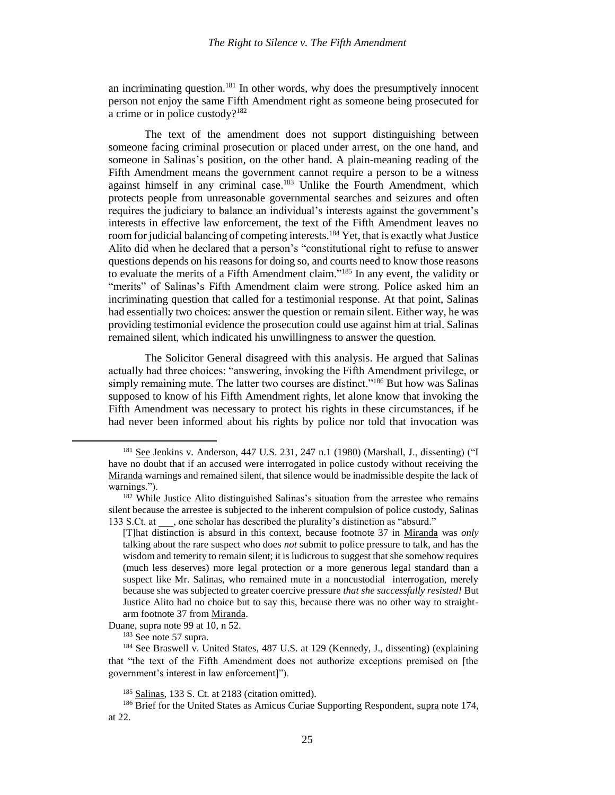an incriminating question.<sup>181</sup> In other words, why does the presumptively innocent person not enjoy the same Fifth Amendment right as someone being prosecuted for a crime or in police custody?<sup>182</sup>

The text of the amendment does not support distinguishing between someone facing criminal prosecution or placed under arrest, on the one hand, and someone in Salinas's position, on the other hand. A plain-meaning reading of the Fifth Amendment means the government cannot require a person to be a witness against himself in any criminal case.<sup>183</sup> Unlike the Fourth Amendment, which protects people from unreasonable governmental searches and seizures and often requires the judiciary to balance an individual's interests against the government's interests in effective law enforcement, the text of the Fifth Amendment leaves no room for judicial balancing of competing interests.<sup>184</sup> Yet, that is exactly what Justice Alito did when he declared that a person's "constitutional right to refuse to answer questions depends on his reasons for doing so, and courts need to know those reasons to evaluate the merits of a Fifth Amendment claim."<sup>185</sup> In any event, the validity or "merits" of Salinas's Fifth Amendment claim were strong. Police asked him an incriminating question that called for a testimonial response. At that point, Salinas had essentially two choices: answer the question or remain silent. Either way, he was providing testimonial evidence the prosecution could use against him at trial. Salinas remained silent, which indicated his unwillingness to answer the question.

The Solicitor General disagreed with this analysis. He argued that Salinas actually had three choices: "answering, invoking the Fifth Amendment privilege, or simply remaining mute. The latter two courses are distinct."<sup>186</sup> But how was Salinas supposed to know of his Fifth Amendment rights, let alone know that invoking the Fifth Amendment was necessary to protect his rights in these circumstances, if he had never been informed about his rights by police nor told that invocation was

Duane, supra note 99 at 10, n 52.

<sup>181</sup> See Jenkins v. Anderson, 447 U.S. 231, 247 n.1 (1980) (Marshall, J., dissenting) ("I have no doubt that if an accused were interrogated in police custody without receiving the Miranda warnings and remained silent, that silence would be inadmissible despite the lack of warnings.").

<sup>&</sup>lt;sup>182</sup> While Justice Alito distinguished Salinas's situation from the arrestee who remains silent because the arrestee is subjected to the inherent compulsion of police custody, Salinas 133 S.Ct. at \_\_\_, one scholar has described the plurality's distinction as "absurd."

<sup>[</sup>T]hat distinction is absurd in this context, because footnote 37 in Miranda was *only* talking about the rare suspect who does *not* submit to police pressure to talk, and has the wisdom and temerity to remain silent; it is ludicrous to suggest that she somehow requires (much less deserves) more legal protection or a more generous legal standard than a suspect like Mr. Salinas, who remained mute in a noncustodial interrogation, merely because she was subjected to greater coercive pressure *that she successfully resisted!* But Justice Alito had no choice but to say this, because there was no other way to straightarm footnote 37 from Miranda.

<sup>183</sup> See note 57 supra.

<sup>184</sup> See Braswell v. United States, 487 U.S. at 129 (Kennedy, J., dissenting) (explaining that "the text of the Fifth Amendment does not authorize exceptions premised on [the government's interest in law enforcement]").

<sup>185</sup> Salinas, 133 S. Ct. at 2183 (citation omitted).

<sup>&</sup>lt;sup>186</sup> Brief for the United States as Amicus Curiae Supporting Respondent, supra note [174,](#page-24-0) at 22.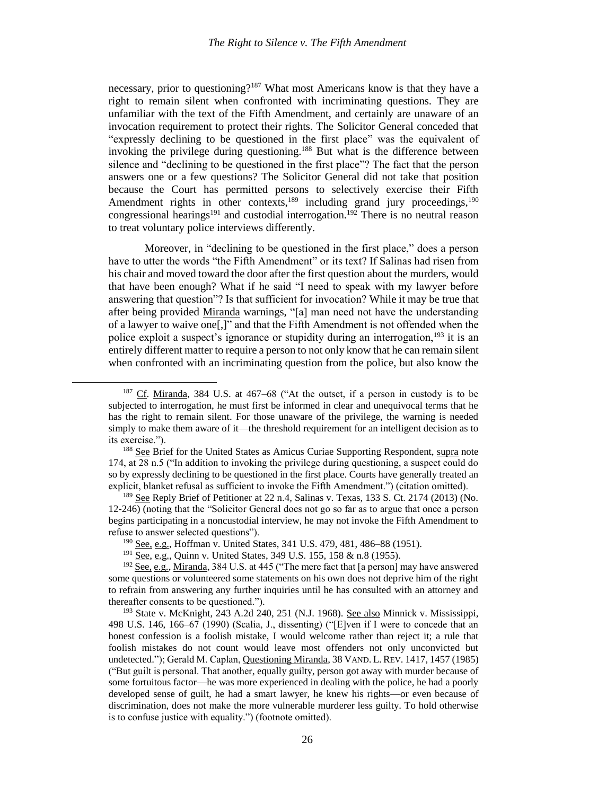necessary, prior to questioning?<sup>187</sup> What most Americans know is that they have a right to remain silent when confronted with incriminating questions. They are unfamiliar with the text of the Fifth Amendment, and certainly are unaware of an invocation requirement to protect their rights. The Solicitor General conceded that "expressly declining to be questioned in the first place" was the equivalent of invoking the privilege during questioning.<sup>188</sup> But what is the difference between silence and "declining to be questioned in the first place"? The fact that the person answers one or a few questions? The Solicitor General did not take that position because the Court has permitted persons to selectively exercise their Fifth Amendment rights in other contexts, $189$  including grand jury proceedings,  $190$ congressional hearings<sup>191</sup> and custodial interrogation.<sup>192</sup> There is no neutral reason to treat voluntary police interviews differently.

Moreover, in "declining to be questioned in the first place," does a person have to utter the words "the Fifth Amendment" or its text? If Salinas had risen from his chair and moved toward the door after the first question about the murders, would that have been enough? What if he said "I need to speak with my lawyer before answering that question"? Is that sufficient for invocation? While it may be true that after being provided Miranda warnings, "[a] man need not have the understanding of a lawyer to waive one[,]" and that the Fifth Amendment is not offended when the police exploit a suspect's ignorance or stupidity during an interrogation,<sup>193</sup> it is an entirely different matter to require a person to not only know that he can remain silent when confronted with an incriminating question from the police, but also know the

<sup>187</sup> Cf. Miranda, 384 U.S. at 467–68 ("At the outset, if a person in custody is to be subjected to interrogation, he must first be informed in clear and unequivocal terms that he has the right to remain silent. For those unaware of the privilege, the warning is needed simply to make them aware of it—the threshold requirement for an intelligent decision as to its exercise.").

<sup>&</sup>lt;sup>188</sup> See Brief for the United States as Amicus Curiae Supporting Respondent, supra note [174,](#page-24-0) at 28 n.5 ("In addition to invoking the privilege during questioning, a suspect could do so by expressly declining to be questioned in the first place. Courts have generally treated an explicit, blanket refusal as sufficient to invoke the Fifth Amendment.") (citation omitted).

<sup>&</sup>lt;sup>189</sup> See Reply Brief of Petitioner at 22 n.4, Salinas v. Texas, 133 S. Ct. 2174 (2013) (No. 12-246) (noting that the "Solicitor General does not go so far as to argue that once a person begins participating in a noncustodial interview, he may not invoke the Fifth Amendment to refuse to answer selected questions").

<sup>190</sup> See, e.g., Hoffman v. United States, 341 U.S. 479, 481, 486–88 (1951).

<sup>191</sup> See, e.g., Quinn v. United States, 349 U.S. 155, 158 & n.8 (1955).

 $192$  See, e.g., Miranda, 384 U.S. at 445 ("The mere fact that [a person] may have answered some questions or volunteered some statements on his own does not deprive him of the right to refrain from answering any further inquiries until he has consulted with an attorney and thereafter consents to be questioned.").

<sup>&</sup>lt;sup>193</sup> State v. McKnight, 243 A.2d 240, 251 (N.J. 1968). See also Minnick v. Mississippi, 498 U.S. 146, 166–67 (1990) (Scalia, J., dissenting) ("[E]ven if I were to concede that an honest confession is a foolish mistake, I would welcome rather than reject it; a rule that foolish mistakes do not count would leave most offenders not only unconvicted but undetected."); Gerald M. Caplan, Questioning Miranda, 38 VAND. L. REV. 1417, 1457 (1985) ("But guilt is personal. That another, equally guilty, person got away with murder because of some fortuitous factor—he was more experienced in dealing with the police, he had a poorly developed sense of guilt, he had a smart lawyer, he knew his rights—or even because of discrimination, does not make the more vulnerable murderer less guilty. To hold otherwise is to confuse justice with equality.") (footnote omitted).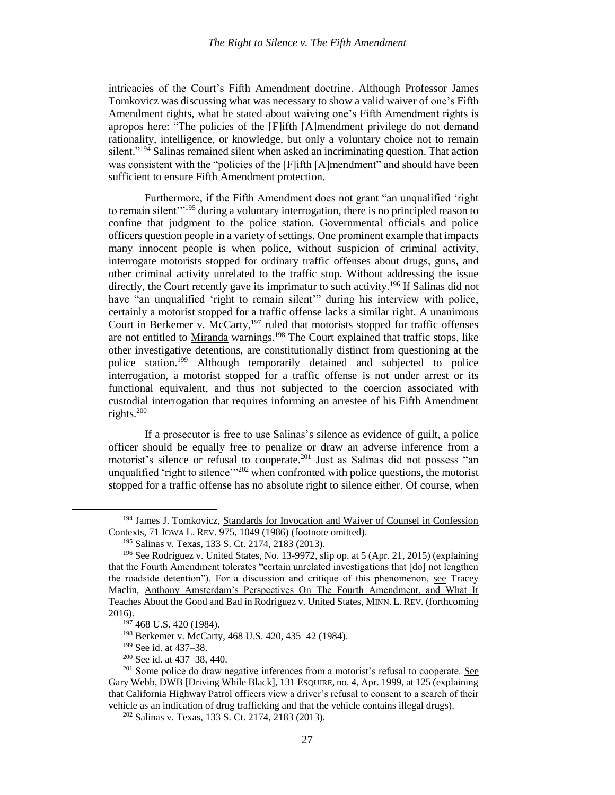intricacies of the Court's Fifth Amendment doctrine. Although Professor James Tomkovicz was discussing what was necessary to show a valid waiver of one's Fifth Amendment rights, what he stated about waiving one's Fifth Amendment rights is apropos here: "The policies of the [F]ifth [A]mendment privilege do not demand rationality, intelligence, or knowledge, but only a voluntary choice not to remain silent."<sup>194</sup> Salinas remained silent when asked an incriminating question. That action was consistent with the "policies of the [F]ifth [A]mendment" and should have been sufficient to ensure Fifth Amendment protection.

Furthermore, if the Fifth Amendment does not grant "an unqualified 'right to remain silent<sup>"195</sup> during a voluntary interrogation, there is no principled reason to confine that judgment to the police station. Governmental officials and police officers question people in a variety of settings. One prominent example that impacts many innocent people is when police, without suspicion of criminal activity, interrogate motorists stopped for ordinary traffic offenses about drugs, guns, and other criminal activity unrelated to the traffic stop. Without addressing the issue directly, the Court recently gave its imprimatur to such activity.<sup>196</sup> If Salinas did not have "an unqualified 'right to remain silent'" during his interview with police, certainly a motorist stopped for a traffic offense lacks a similar right. A unanimous Court in Berkemer v. McCarty,<sup>197</sup> ruled that motorists stopped for traffic offenses are not entitled to Miranda warnings.<sup>198</sup> The Court explained that traffic stops, like other investigative detentions, are constitutionally distinct from questioning at the police station.<sup>199</sup> Although temporarily detained and subjected to police interrogation, a motorist stopped for a traffic offense is not under arrest or its functional equivalent, and thus not subjected to the coercion associated with custodial interrogation that requires informing an arrestee of his Fifth Amendment rights.<sup>200</sup>

If a prosecutor is free to use Salinas's silence as evidence of guilt, a police officer should be equally free to penalize or draw an adverse inference from a motorist's silence or refusal to cooperate.<sup>201</sup> Just as Salinas did not possess "an unqualified 'right to silence'<sup>2202</sup> when confronted with police questions, the motorist stopped for a traffic offense has no absolute right to silence either. Of course, when

 $\overline{a}$ 

<sup>194</sup> James J. Tomkovicz, Standards for Invocation and Waiver of Counsel in Confession Contexts, 71 IOWA L. REV. 975, 1049 (1986) (footnote omitted).

<sup>195</sup> Salinas v. Texas, 133 S. Ct. 2174, 2183 (2013).

<sup>&</sup>lt;sup>196</sup> See Rodriguez v. United States, No. 13-9972, slip op. at 5 (Apr. 21, 2015) (explaining that the Fourth Amendment tolerates "certain unrelated investigations that [do] not lengthen the roadside detention"). For a discussion and critique of this phenomenon, see Tracey Maclin, Anthony Amsterdam's Perspectives On The Fourth Amendment, and What It Teaches About the Good and Bad in Rodriguez v. United States, MINN. L. REV. (forthcoming 2016).

<sup>197</sup> 468 U.S. 420 (1984).

<sup>198</sup> Berkemer v. McCarty, 468 U.S. 420, 435–42 (1984).

<sup>199</sup> See id. at 437–38.

<sup>200</sup> See id. at 437–38, 440.

<sup>&</sup>lt;sup>201</sup> Some police do draw negative inferences from a motorist's refusal to cooperate. See Gary Webb, DWB [Driving While Black], 131 ESQUIRE, no. 4, Apr. 1999, at 125 (explaining that California Highway Patrol officers view a driver's refusal to consent to a search of their vehicle as an indication of drug trafficking and that the vehicle contains illegal drugs).

<sup>202</sup> Salinas v. Texas, 133 S. Ct. 2174, 2183 (2013).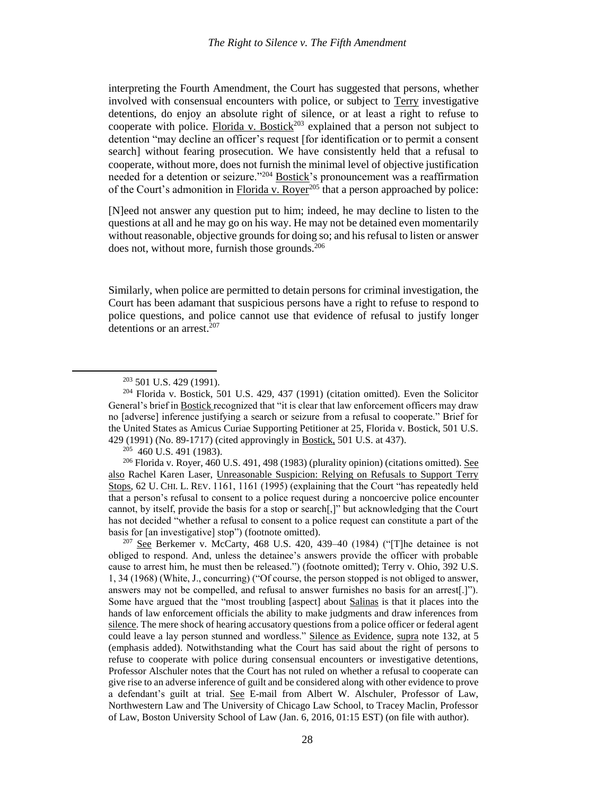interpreting the Fourth Amendment, the Court has suggested that persons, whether involved with consensual encounters with police, or subject to Terry investigative detentions, do enjoy an absolute right of silence, or at least a right to refuse to cooperate with police. Florida v. Bostick<sup>203</sup> explained that a person not subject to detention "may decline an officer's request [for identification or to permit a consent search] without fearing prosecution. We have consistently held that a refusal to cooperate, without more, does not furnish the minimal level of objective justification needed for a detention or seizure."<sup>204</sup> Bostick's pronouncement was a reaffirmation of the Court's admonition in Florida v. Royer<sup>205</sup> that a person approached by police:

[N]eed not answer any question put to him; indeed, he may decline to listen to the questions at all and he may go on his way. He may not be detained even momentarily without reasonable, objective grounds for doing so; and his refusal to listen or answer does not, without more, furnish those grounds.<sup>206</sup>

Similarly, when police are permitted to detain persons for criminal investigation, the Court has been adamant that suspicious persons have a right to refuse to respond to police questions, and police cannot use that evidence of refusal to justify longer detentions or an arrest.<sup>207</sup>

 $\overline{a}$ 

205 460 U.S. 491 (1983).

<sup>206</sup> Florida v. Royer, 460 U.S. 491, 498 (1983) (plurality opinion) (citations omitted). See also Rachel Karen Laser, Unreasonable Suspicion: Relying on Refusals to Support Terry Stops, 62 U. CHI. L. REV. 1161, 1161 (1995) (explaining that the Court "has repeatedly held that a person's refusal to consent to a police request during a noncoercive police encounter cannot, by itself, provide the basis for a stop or search[,]" but acknowledging that the Court has not decided "whether a refusal to consent to a police request can constitute a part of the basis for [an investigative] stop") (footnote omitted).

<sup>207</sup> See Berkemer v. McCarty, 468 U.S. 420, 439–40 (1984) ("The detainee is not obliged to respond. And, unless the detainee's answers provide the officer with probable cause to arrest him, he must then be released.") (footnote omitted); Terry v. Ohio, 392 U.S. 1, 34 (1968) (White, J., concurring) ("Of course, the person stopped is not obliged to answer, answers may not be compelled, and refusal to answer furnishes no basis for an arrest[.]"). Some have argued that the "most troubling [aspect] about Salinas is that it places into the hands of law enforcement officials the ability to make judgments and draw inferences from silence. The mere shock of hearing accusatory questions from a police officer or federal agent could leave a lay person stunned and wordless." Silence as Evidence, supra note [132,](#page-16-0) at 5 (emphasis added). Notwithstanding what the Court has said about the right of persons to refuse to cooperate with police during consensual encounters or investigative detentions, Professor Alschuler notes that the Court has not ruled on whether a refusal to cooperate can give rise to an adverse inference of guilt and be considered along with other evidence to prove a defendant's guilt at trial. See E-mail from Albert W. Alschuler, Professor of Law, Northwestern Law and The University of Chicago Law School, to Tracey Maclin, Professor of Law, Boston University School of Law (Jan. 6, 2016, 01:15 EST) (on file with author).

<sup>203</sup> 501 U.S. 429 (1991).

 $204$  Florida v. Bostick, 501 U.S. 429, 437 (1991) (citation omitted). Even the Solicitor General's brief in Bostick recognized that "it is clear that law enforcement officers may draw no [adverse] inference justifying a search or seizure from a refusal to cooperate." Brief for the United States as Amicus Curiae Supporting Petitioner at 25, Florida v. Bostick, 501 U.S. 429 (1991) (No. 89-1717) (cited approvingly in Bostick, 501 U.S. at 437).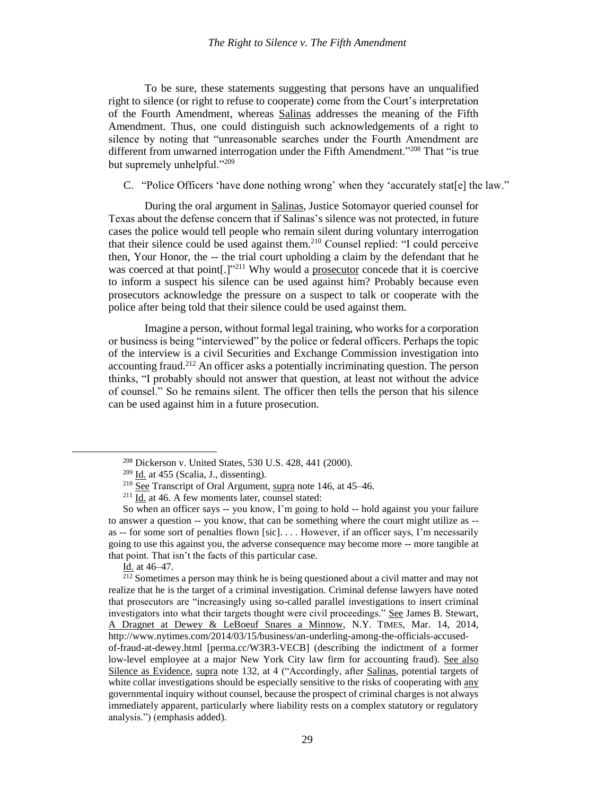To be sure, these statements suggesting that persons have an unqualified right to silence (or right to refuse to cooperate) come from the Court's interpretation of the Fourth Amendment, whereas Salinas addresses the meaning of the Fifth Amendment. Thus, one could distinguish such acknowledgements of a right to silence by noting that "unreasonable searches under the Fourth Amendment are different from unwarned interrogation under the Fifth Amendment."<sup>208</sup> That "is true but supremely unhelpful."<sup>209</sup>

C. "Police Officers 'have done nothing wrong' when they 'accurately stat[e] the law."

During the oral argument in Salinas, Justice Sotomayor queried counsel for Texas about the defense concern that if Salinas's silence was not protected, in future cases the police would tell people who remain silent during voluntary interrogation that their silence could be used against them.<sup>210</sup> Counsel replied: "I could perceive then, Your Honor, the -- the trial court upholding a claim by the defendant that he was coerced at that point[.]"<sup>211</sup> Why would a prosecutor concede that it is coercive to inform a suspect his silence can be used against him? Probably because even prosecutors acknowledge the pressure on a suspect to talk or cooperate with the police after being told that their silence could be used against them.

Imagine a person, without formal legal training, who works for a corporation or business is being "interviewed" by the police or federal officers. Perhaps the topic of the interview is a civil Securities and Exchange Commission investigation into accounting fraud.<sup>212</sup> An officer asks a potentially incriminating question. The person thinks, "I probably should not answer that question, at least not without the advice of counsel." So he remains silent. The officer then tells the person that his silence can be used against him in a future prosecution.

<sup>208</sup> Dickerson v. United States, 530 U.S. 428, 441 (2000).

 $209$  Id. at 455 (Scalia, J., dissenting).

<sup>&</sup>lt;sup>210</sup> See Transcript of Oral Argument, supra not[e 146,](#page-19-0) at 45–46.

 $211$   $\underline{Id}$ . at 46. A few moments later, counsel stated:

So when an officer says -- you know, I'm going to hold -- hold against you your failure to answer a question -- you know, that can be something where the court might utilize as - as -- for some sort of penalties flown [sic]. . . . However, if an officer says, I'm necessarily going to use this against you, the adverse consequence may become more -- more tangible at that point. That isn't the facts of this particular case.

Id. at 46–47.

<sup>&</sup>lt;sup>212</sup> Sometimes a person may think he is being questioned about a civil matter and may not realize that he is the target of a criminal investigation. Criminal defense lawyers have noted that prosecutors are "increasingly using so-called parallel investigations to insert criminal investigators into what their targets thought were civil proceedings." See James B. Stewart, A Dragnet at Dewey & LeBoeuf Snares a Minnow, N.Y. TIMES, Mar. 14, 2014, http://www.nytimes.com/2014/03/15/business/an-underling-among-the-officials-accusedof-fraud-at-dewey.html [perma.cc/W3R3-VECB] (describing the indictment of a former low-level employee at a major New York City law firm for accounting fraud). See also Silence as Evidence, supra note [132,](#page-16-0) at 4 ("Accordingly, after Salinas, potential targets of white collar investigations should be especially sensitive to the risks of cooperating with any

governmental inquiry without counsel, because the prospect of criminal charges is not always immediately apparent, particularly where liability rests on a complex statutory or regulatory analysis.") (emphasis added).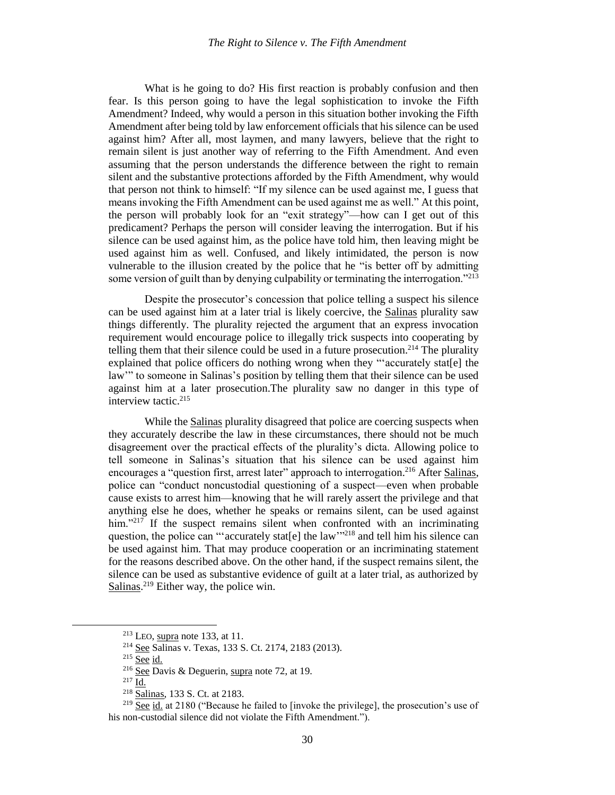What is he going to do? His first reaction is probably confusion and then fear. Is this person going to have the legal sophistication to invoke the Fifth Amendment? Indeed, why would a person in this situation bother invoking the Fifth Amendment after being told by law enforcement officials that his silence can be used against him? After all, most laymen, and many lawyers, believe that the right to remain silent is just another way of referring to the Fifth Amendment. And even assuming that the person understands the difference between the right to remain silent and the substantive protections afforded by the Fifth Amendment, why would that person not think to himself: "If my silence can be used against me, I guess that means invoking the Fifth Amendment can be used against me as well." At this point, the person will probably look for an "exit strategy"—how can I get out of this predicament? Perhaps the person will consider leaving the interrogation. But if his silence can be used against him, as the police have told him, then leaving might be used against him as well. Confused, and likely intimidated, the person is now vulnerable to the illusion created by the police that he "is better off by admitting some version of guilt than by denying culpability or terminating the interrogation."<sup>213</sup>

Despite the prosecutor's concession that police telling a suspect his silence can be used against him at a later trial is likely coercive, the Salinas plurality saw things differently. The plurality rejected the argument that an express invocation requirement would encourage police to illegally trick suspects into cooperating by telling them that their silence could be used in a future prosecution.<sup>214</sup> The plurality explained that police officers do nothing wrong when they "'accurately stat[e] the law'" to someone in Salinas's position by telling them that their silence can be used against him at a later prosecution.The plurality saw no danger in this type of interview tactic.<sup>215</sup>

While the Salinas plurality disagreed that police are coercing suspects when they accurately describe the law in these circumstances, there should not be much disagreement over the practical effects of the plurality's dicta. Allowing police to tell someone in Salinas's situation that his silence can be used against him encourages a "question first, arrest later" approach to interrogation.<sup>216</sup> After Salinas, police can "conduct noncustodial questioning of a suspect—even when probable cause exists to arrest him—knowing that he will rarely assert the privilege and that anything else he does, whether he speaks or remains silent, can be used against him."<sup>217</sup> If the suspect remains silent when confronted with an incriminating question, the police can "'accurately stat[e] the law"<sup>218</sup> and tell him his silence can be used against him. That may produce cooperation or an incriminating statement for the reasons described above. On the other hand, if the suspect remains silent, the silence can be used as substantive evidence of guilt at a later trial, as authorized by Salinas.<sup>219</sup> Either way, the police win.

<sup>217</sup> Id.

 $\overline{a}$ 

<sup>213</sup> LEO, supra note [133,](#page-16-1) at 11.

<sup>214</sup> See Salinas v. Texas, 133 S. Ct. 2174, 2183 (2013).

<sup>&</sup>lt;sup>215</sup> See id.

<sup>&</sup>lt;sup>216</sup> See Davis & Deguerin, supra note [72,](#page-11-1) at 19.

<sup>218</sup> Salinas, 133 S. Ct. at 2183.

 $2^{19}$  See id. at 2180 ("Because he failed to [invoke the privilege], the prosecution's use of his non-custodial silence did not violate the Fifth Amendment.").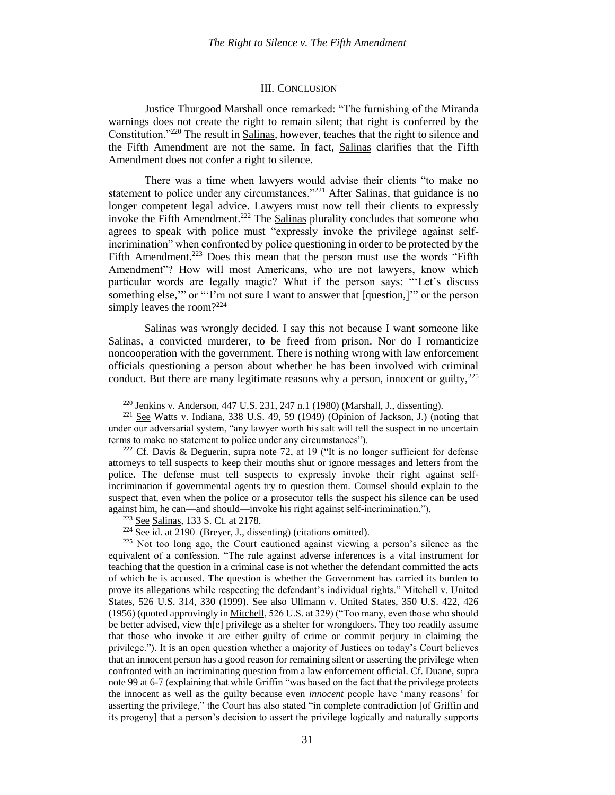#### III. CONCLUSION

Justice Thurgood Marshall once remarked: "The furnishing of the Miranda warnings does not create the right to remain silent; that right is conferred by the Constitution."<sup>220</sup> The result in Salinas, however, teaches that the right to silence and the Fifth Amendment are not the same. In fact, Salinas clarifies that the Fifth Amendment does not confer a right to silence.

There was a time when lawyers would advise their clients "to make no statement to police under any circumstances."<sup>221</sup> After Salinas, that guidance is no longer competent legal advice. Lawyers must now tell their clients to expressly invoke the Fifth Amendment.<sup>222</sup> The Salinas plurality concludes that someone who agrees to speak with police must "expressly invoke the privilege against selfincrimination" when confronted by police questioning in order to be protected by the Fifth Amendment.<sup>223</sup> Does this mean that the person must use the words "Fifth" Amendment"? How will most Americans, who are not lawyers, know which particular words are legally magic? What if the person says: "'Let's discuss something else,'" or "'I'm not sure I want to answer that [question,]'" or the person simply leaves the room? 224

Salinas was wrongly decided. I say this not because I want someone like Salinas, a convicted murderer, to be freed from prison. Nor do I romanticize noncooperation with the government. There is nothing wrong with law enforcement officials questioning a person about whether he has been involved with criminal conduct. But there are many legitimate reasons why a person, innocent or guilty, $^{225}$ 

<sup>223</sup> See Salinas, 133 S. Ct. at 2178.

 $\overline{\phantom{a}}$ 

<sup>225</sup> Not too long ago, the Court cautioned against viewing a person's silence as the equivalent of a confession. "The rule against adverse inferences is a vital instrument for teaching that the question in a criminal case is not whether the defendant committed the acts of which he is accused. The question is whether the Government has carried its burden to prove its allegations while respecting the defendant's individual rights." Mitchell v. United States, 526 U.S. 314, 330 (1999). See also Ullmann v. United States, 350 U.S. 422, 426 (1956) (quoted approvingly in Mitchell, 526 U.S. at 329) ("Too many, even those who should be better advised, view th[e] privilege as a shelter for wrongdoers. They too readily assume that those who invoke it are either guilty of crime or commit perjury in claiming the privilege."). It is an open question whether a majority of Justices on today's Court believes that an innocent person has a good reason for remaining silent or asserting the privilege when confronted with an incriminating question from a law enforcement official. Cf. Duane, supra note 99 at 6-7 (explaining that while Griffin "was based on the fact that the privilege protects the innocent as well as the guilty because even *innocent* people have 'many reasons' for asserting the privilege," the Court has also stated "in complete contradiction [of Griffin and its progeny] that a person's decision to assert the privilege logically and naturally supports

<sup>&</sup>lt;sup>220</sup> Jenkins v. Anderson, 447 U.S. 231, 247 n.1 (1980) (Marshall, J., dissenting).

 $221$  See Watts v. Indiana, 338 U.S. 49, 59 (1949) (Opinion of Jackson, J.) (noting that under our adversarial system, "any lawyer worth his salt will tell the suspect in no uncertain terms to make no statement to police under any circumstances").

<sup>&</sup>lt;sup>222</sup> Cf. Davis & Deguerin, supra note [72,](#page-11-1) at 19 ("It is no longer sufficient for defense attorneys to tell suspects to keep their mouths shut or ignore messages and letters from the police. The defense must tell suspects to expressly invoke their right against selfincrimination if governmental agents try to question them. Counsel should explain to the suspect that, even when the police or a prosecutor tells the suspect his silence can be used against him, he can—and should—invoke his right against self-incrimination.").

 $224 \overline{\text{See}}$  id. at 2190 (Breyer, J., dissenting) (citations omitted).